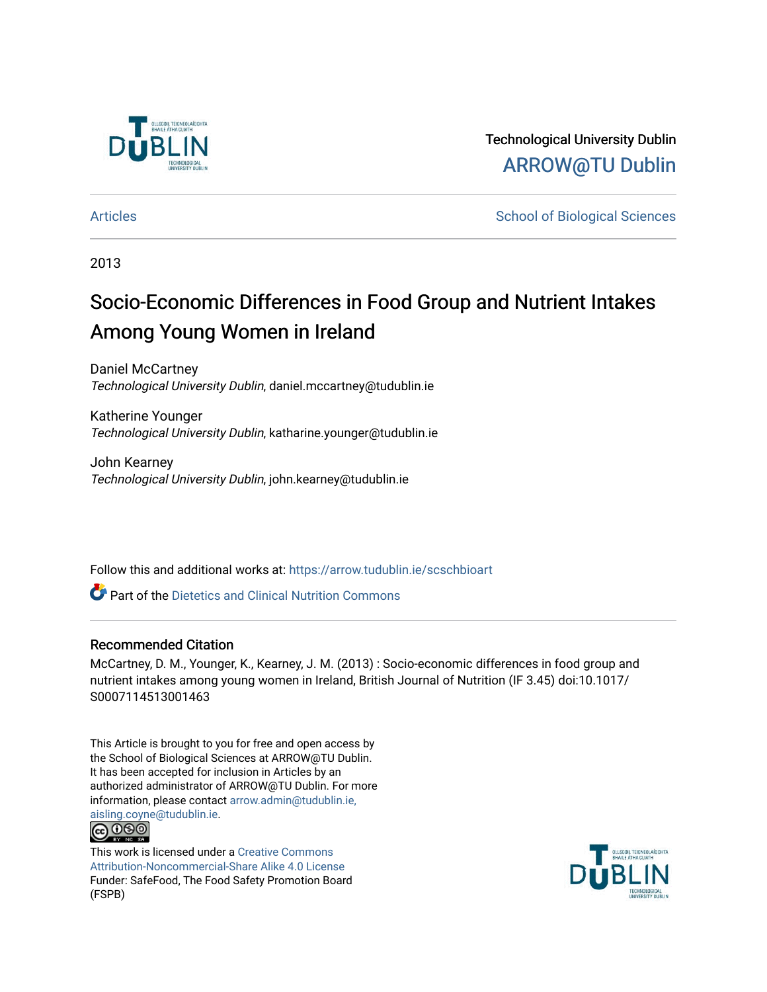

Technological University Dublin [ARROW@TU Dublin](https://arrow.tudublin.ie/) 

[Articles](https://arrow.tudublin.ie/scschbioart) **School of Biological Sciences** School of Biological Sciences

2013

# Socio-Economic Differences in Food Group and Nutrient Intakes Among Young Women in Ireland

Daniel McCartney Technological University Dublin, daniel.mccartney@tudublin.ie

Katherine Younger Technological University Dublin, katharine.younger@tudublin.ie

John Kearney Technological University Dublin, john.kearney@tudublin.ie

Follow this and additional works at: [https://arrow.tudublin.ie/scschbioart](https://arrow.tudublin.ie/scschbioart?utm_source=arrow.tudublin.ie%2Fscschbioart%2F113&utm_medium=PDF&utm_campaign=PDFCoverPages)

Part of the [Dietetics and Clinical Nutrition Commons](http://network.bepress.com/hgg/discipline/662?utm_source=arrow.tudublin.ie%2Fscschbioart%2F113&utm_medium=PDF&utm_campaign=PDFCoverPages) 

### Recommended Citation

McCartney, D. M., Younger, K., Kearney, J. M. (2013) : Socio-economic differences in food group and nutrient intakes among young women in Ireland, British Journal of Nutrition (IF 3.45) doi:10.1017/ S0007114513001463

This Article is brought to you for free and open access by the School of Biological Sciences at ARROW@TU Dublin. It has been accepted for inclusion in Articles by an authorized administrator of ARROW@TU Dublin. For more information, please contact [arrow.admin@tudublin.ie,](mailto:arrow.admin@tudublin.ie,%20aisling.coyne@tudublin.ie)  [aisling.coyne@tudublin.ie.](mailto:arrow.admin@tudublin.ie,%20aisling.coyne@tudublin.ie)



This work is licensed under a [Creative Commons](http://creativecommons.org/licenses/by-nc-sa/4.0/) [Attribution-Noncommercial-Share Alike 4.0 License](http://creativecommons.org/licenses/by-nc-sa/4.0/) Funder: SafeFood, The Food Safety Promotion Board (FSPB)

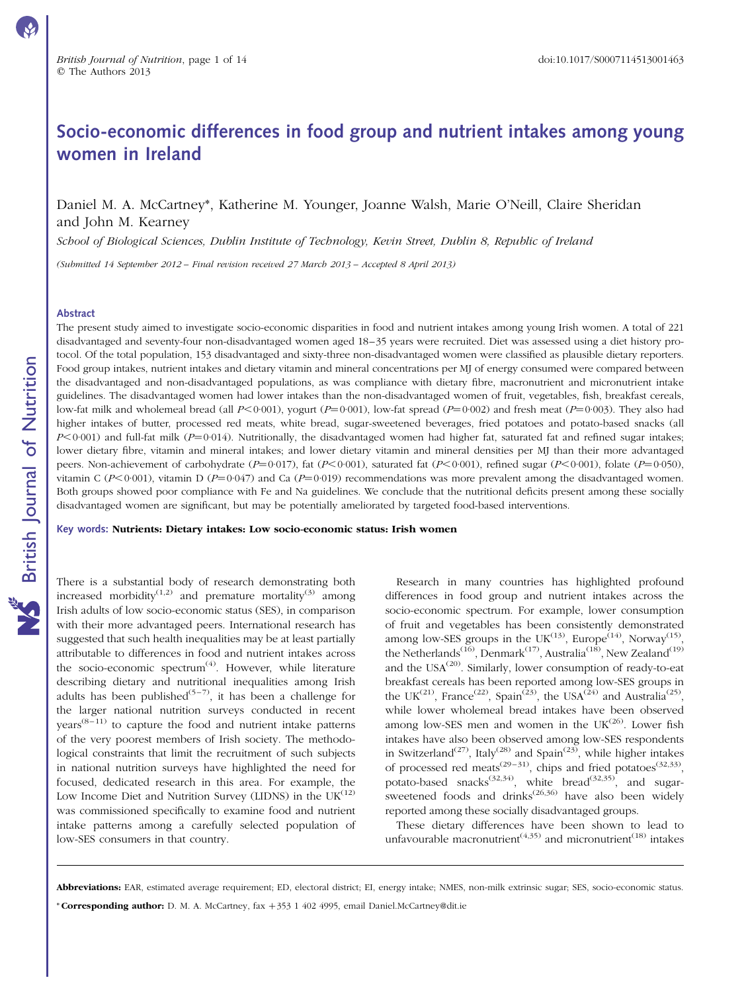## Socio-economic differences in food group and nutrient intakes among young women in Ireland

Daniel M. A. McCartney\*, Katherine M. Younger, Joanne Walsh, Marie O'Neill, Claire Sheridan and John M. Kearney

School of Biological Sciences, Dublin Institute of Technology, Kevin Street, Dublin 8, Republic of Ireland

(Submitted 14 September 2012 – Final revision received 27 March 2013 – Accepted 8 April 2013)

#### Abstract

The present study aimed to investigate socio-economic disparities in food and nutrient intakes among young Irish women. A total of 221 disadvantaged and seventy-four non-disadvantaged women aged 18–35 years were recruited. Diet was assessed using a diet history protocol. Of the total population, 153 disadvantaged and sixty-three non-disadvantaged women were classified as plausible dietary reporters. Food group intakes, nutrient intakes and dietary vitamin and mineral concentrations per MJ of energy consumed were compared between the disadvantaged and non-disadvantaged populations, as was compliance with dietary fibre, macronutrient and micronutrient intake guidelines. The disadvantaged women had lower intakes than the non-disadvantaged women of fruit, vegetables, fish, breakfast cereals, low-fat milk and wholemeal bread (all  $P<0.001$ ), yogurt (P=0.001), low-fat spread (P=0.002) and fresh meat (P=0.003). They also had higher intakes of butter, processed red meats, white bread, sugar-sweetened beverages, fried potatoes and potato-based snacks (all  $P<0.001$ ) and full-fat milk ( $P=0.014$ ). Nutritionally, the disadvantaged women had higher fat, saturated fat and refined sugar intakes; lower dietary fibre, vitamin and mineral intakes; and lower dietary vitamin and mineral densities per MJ than their more advantaged peers. Non-achievement of carbohydrate ( $P=0.017$ ), fat ( $P<0.001$ ), saturated fat ( $P<0.001$ ), refined sugar ( $P<0.001$ ), folate ( $P=0.050$ ), vitamin C ( $P$ <0·001), vitamin D ( $P$ =0·047) and Ca ( $P$ =0·019) recommendations was more prevalent among the disadvantaged women. Both groups showed poor compliance with Fe and Na guidelines. We conclude that the nutritional deficits present among these socially disadvantaged women are significant, but may be potentially ameliorated by targeted food-based interventions.

Key words: Nutrients: Dietary intakes: Low socio-economic status: Irish women

There is a substantial body of research demonstrating both increased morbidity<sup>(1,2)</sup> and premature mortality<sup>(3)</sup> among Irish adults of low socio-economic status (SES), in comparison with their more advantaged peers. International research has suggested that such health inequalities may be at least partially attributable to differences in food and nutrient intakes across the socio-economic spectrum<sup>(4)</sup>. However, while literature describing dietary and nutritional inequalities among Irish adults has been published<sup>(5-7)</sup>, it has been a challenge for the larger national nutrition surveys conducted in recent  $years<sup>(8-11)</sup>$  to capture the food and nutrient intake patterns of the very poorest members of Irish society. The methodological constraints that limit the recruitment of such subjects in national nutrition surveys have highlighted the need for focused, dedicated research in this area. For example, the Low Income Diet and Nutrition Survey (LIDNS) in the  $UK^{(12)}$ was commissioned specifically to examine food and nutrient intake patterns among a carefully selected population of low-SES consumers in that country.

Research in many countries has highlighted profound differences in food group and nutrient intakes across the socio-economic spectrum. For example, lower consumption of fruit and vegetables has been consistently demonstrated among low-SES groups in the UK $^{(13)}$ , Europe<sup>(14)</sup>, Norway<sup>(15)</sup>, the Netherlands<sup>(16)</sup>, Denmark<sup>(17)</sup>, Australia<sup>(18)</sup>, New Zealand<sup>(19)</sup> and the USA $^{(20)}$ . Similarly, lower consumption of ready-to-eat breakfast cereals has been reported among low-SES groups in the UK<sup>(21)</sup>, France<sup>(22)</sup>, Spain<sup>(23)</sup>, the USA<sup>(24)</sup> and Australia<sup>(25)</sup>, while lower wholemeal bread intakes have been observed among low-SES men and women in the  $UK^{(26)}$ . Lower fish intakes have also been observed among low-SES respondents in Switzerland<sup>(27)</sup>, Italy<sup>(28)</sup> and Spain<sup>(23)</sup>, while higher intakes of processed red meats<sup>(29–31)</sup>, chips and fried potatoes<sup>(32,33)</sup>, potato-based snacks<sup>(32,34)</sup>, white bread<sup>(32,35)</sup>, and sugarsweetened foods and drinks<sup> $(26,36)$ </sup> have also been widely reported among these socially disadvantaged groups.

These dietary differences have been shown to lead to unfavourable macronutrient<sup> $(4,35)$ </sup> and micronutrient<sup> $(18)$ </sup> intakes

\* Corresponding author: D. M. A. McCartney, fax  $+353$  1 402 4995, email Daniel.McCartney@dit.ie

Abbreviations: EAR, estimated average requirement; ED, electoral district; EI, energy intake; NMES, non-milk extrinsic sugar; SES, socio-economic status.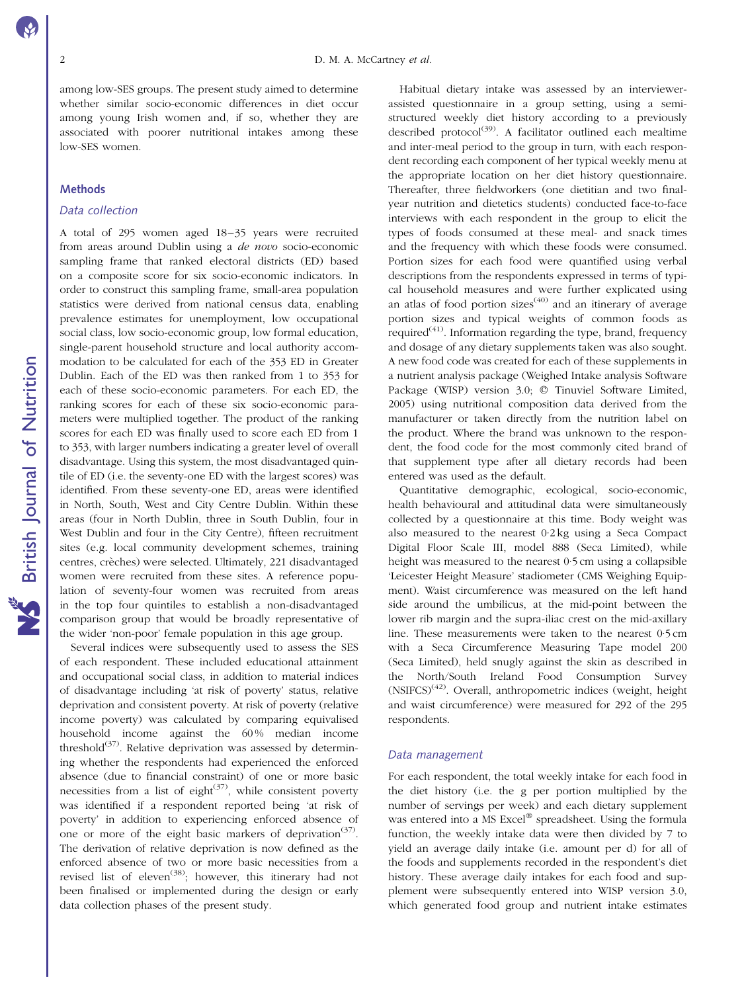among low-SES groups. The present study aimed to determine whether similar socio-economic differences in diet occur among young Irish women and, if so, whether they are associated with poorer nutritional intakes among these low-SES women.

#### Methods

#### Data collection

A total of 295 women aged 18–35 years were recruited from areas around Dublin using a de novo socio-economic sampling frame that ranked electoral districts (ED) based on a composite score for six socio-economic indicators. In order to construct this sampling frame, small-area population statistics were derived from national census data, enabling prevalence estimates for unemployment, low occupational social class, low socio-economic group, low formal education, single-parent household structure and local authority accommodation to be calculated for each of the 353 ED in Greater Dublin. Each of the ED was then ranked from 1 to 353 for each of these socio-economic parameters. For each ED, the ranking scores for each of these six socio-economic parameters were multiplied together. The product of the ranking scores for each ED was finally used to score each ED from 1 to 353, with larger numbers indicating a greater level of overall disadvantage. Using this system, the most disadvantaged quintile of ED (i.e. the seventy-one ED with the largest scores) was identified. From these seventy-one ED, areas were identified in North, South, West and City Centre Dublin. Within these areas (four in North Dublin, three in South Dublin, four in West Dublin and four in the City Centre), fifteen recruitment sites (e.g. local community development schemes, training centres, crèches) were selected. Ultimately, 221 disadvantaged women were recruited from these sites. A reference population of seventy-four women was recruited from areas in the top four quintiles to establish a non-disadvantaged comparison group that would be broadly representative of the wider 'non-poor' female population in this age group.

Several indices were subsequently used to assess the SES of each respondent. These included educational attainment and occupational social class, in addition to material indices of disadvantage including 'at risk of poverty' status, relative deprivation and consistent poverty. At risk of poverty (relative income poverty) was calculated by comparing equivalised household income against the 60% median income threshold $^{(37)}$ . Relative deprivation was assessed by determining whether the respondents had experienced the enforced absence (due to financial constraint) of one or more basic necessities from a list of eight<sup> $(37)$ </sup>, while consistent poverty was identified if a respondent reported being 'at risk of poverty' in addition to experiencing enforced absence of one or more of the eight basic markers of deprivation<sup>(37)</sup>. The derivation of relative deprivation is now defined as the enforced absence of two or more basic necessities from a revised list of eleven<sup> $(38)$ </sup>; however, this itinerary had not been finalised or implemented during the design or early data collection phases of the present study.

Habitual dietary intake was assessed by an interviewerassisted questionnaire in a group setting, using a semistructured weekly diet history according to a previously described protocol<sup>(39)</sup>. A facilitator outlined each mealtime and inter-meal period to the group in turn, with each respondent recording each component of her typical weekly menu at the appropriate location on her diet history questionnaire. Thereafter, three fieldworkers (one dietitian and two finalyear nutrition and dietetics students) conducted face-to-face interviews with each respondent in the group to elicit the types of foods consumed at these meal- and snack times and the frequency with which these foods were consumed. Portion sizes for each food were quantified using verbal descriptions from the respondents expressed in terms of typical household measures and were further explicated using an atlas of food portion sizes<sup> $(40)$ </sup> and an itinerary of average portion sizes and typical weights of common foods as required<sup> $(41)$ </sup>. Information regarding the type, brand, frequency and dosage of any dietary supplements taken was also sought. A new food code was created for each of these supplements in a nutrient analysis package (Weighed Intake analysis Software Package (WISP) version 3.0; © Tinuviel Software Limited, 2005) using nutritional composition data derived from the manufacturer or taken directly from the nutrition label on the product. Where the brand was unknown to the respondent, the food code for the most commonly cited brand of that supplement type after all dietary records had been entered was used as the default.

Quantitative demographic, ecological, socio-economic, health behavioural and attitudinal data were simultaneously collected by a questionnaire at this time. Body weight was also measured to the nearest 0·2 kg using a Seca Compact Digital Floor Scale III, model 888 (Seca Limited), while height was measured to the nearest 0·5 cm using a collapsible 'Leicester Height Measure' stadiometer (CMS Weighing Equipment). Waist circumference was measured on the left hand side around the umbilicus, at the mid-point between the lower rib margin and the supra-iliac crest on the mid-axillary line. These measurements were taken to the nearest 0·5 cm with a Seca Circumference Measuring Tape model 200 (Seca Limited), held snugly against the skin as described in the North/South Ireland Food Consumption Survey (NSIFCS)<sup>(42)</sup>. Overall, anthropometric indices (weight, height and waist circumference) were measured for 292 of the 295 respondents.

#### Data management

For each respondent, the total weekly intake for each food in the diet history (i.e. the g per portion multiplied by the number of servings per week) and each dietary supplement was entered into a MS Excel<sup>®</sup> spreadsheet. Using the formula function, the weekly intake data were then divided by 7 to yield an average daily intake (i.e. amount per d) for all of the foods and supplements recorded in the respondent's diet history. These average daily intakes for each food and supplement were subsequently entered into WISP version 3.0, which generated food group and nutrient intake estimates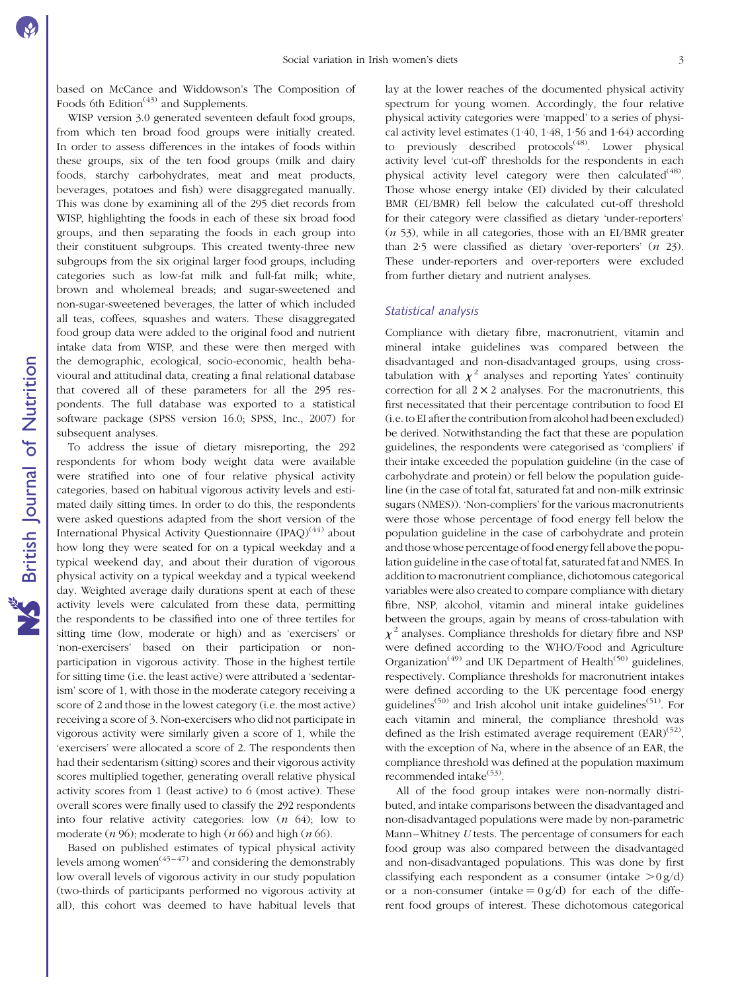based on McCance and Widdowson's The Composition of Foods 6th Edition<sup> $(43)$ </sup> and Supplements.

WISP version 3.0 generated seventeen default food groups, from which ten broad food groups were initially created. In order to assess differences in the intakes of foods within these groups, six of the ten food groups (milk and dairy foods, starchy carbohydrates, meat and meat products, beverages, potatoes and fish) were disaggregated manually. This was done by examining all of the 295 diet records from WISP, highlighting the foods in each of these six broad food groups, and then separating the foods in each group into their constituent subgroups. This created twenty-three new subgroups from the six original larger food groups, including categories such as low-fat milk and full-fat milk; white, brown and wholemeal breads; and sugar-sweetened and non-sugar-sweetened beverages, the latter of which included all teas, coffees, squashes and waters. These disaggregated food group data were added to the original food and nutrient intake data from WISP, and these were then merged with the demographic, ecological, socio-economic, health behavioural and attitudinal data, creating a final relational database that covered all of these parameters for all the 295 respondents. The full database was exported to a statistical software package (SPSS version 16.0; SPSS, Inc., 2007) for subsequent analyses.

To address the issue of dietary misreporting, the 292 respondents for whom body weight data were available were stratified into one of four relative physical activity categories, based on habitual vigorous activity levels and estimated daily sitting times. In order to do this, the respondents were asked questions adapted from the short version of the International Physical Activity Questionnaire  $(IPAQ)^{(44)}$  about how long they were seated for on a typical weekday and a typical weekend day, and about their duration of vigorous physical activity on a typical weekday and a typical weekend day. Weighted average daily durations spent at each of these activity levels were calculated from these data, permitting the respondents to be classified into one of three tertiles for sitting time (low, moderate or high) and as 'exercisers' or 'non-exercisers' based on their participation or nonparticipation in vigorous activity. Those in the highest tertile for sitting time (i.e. the least active) were attributed a 'sedentarism' score of 1, with those in the moderate category receiving a score of 2 and those in the lowest category (i.e. the most active) receiving a score of 3. Non-exercisers who did not participate in vigorous activity were similarly given a score of 1, while the 'exercisers' were allocated a score of 2. The respondents then had their sedentarism (sitting) scores and their vigorous activity scores multiplied together, generating overall relative physical activity scores from 1 (least active) to 6 (most active). These overall scores were finally used to classify the 292 respondents into four relative activity categories: low  $(n \t 64)$ ; low to moderate  $(n 96)$ ; moderate to high  $(n 66)$  and high  $(n 66)$ .

Based on published estimates of typical physical activity levels among women<sup> $(45-47)$ </sup> and considering the demonstrably low overall levels of vigorous activity in our study population (two-thirds of participants performed no vigorous activity at all), this cohort was deemed to have habitual levels that

lay at the lower reaches of the documented physical activity spectrum for young women. Accordingly, the four relative physical activity categories were 'mapped' to a series of physical activity level estimates (1·40, 1·48, 1·56 and 1·64) according to previously described protocols<sup>(48)</sup>. Lower physical activity level 'cut-off' thresholds for the respondents in each physical activity level category were then calculated<sup>(48)</sup>. Those whose energy intake (EI) divided by their calculated BMR (EI/BMR) fell below the calculated cut-off threshold for their category were classified as dietary 'under-reporters'  $(n 53)$ , while in all categories, those with an EI/BMR greater than 2·5 were classified as dietary 'over-reporters' (n 23). These under-reporters and over-reporters were excluded from further dietary and nutrient analyses.

#### Statistical analysis

Compliance with dietary fibre, macronutrient, vitamin and mineral intake guidelines was compared between the disadvantaged and non-disadvantaged groups, using crosstabulation with  $\chi^2$  analyses and reporting Yates' continuity correction for all  $2 \times 2$  analyses. For the macronutrients, this first necessitated that their percentage contribution to food EI (i.e. to EI after the contribution from alcohol had been excluded) be derived. Notwithstanding the fact that these are population guidelines, the respondents were categorised as 'compliers' if their intake exceeded the population guideline (in the case of carbohydrate and protein) or fell below the population guideline (in the case of total fat, saturated fat and non-milk extrinsic sugars (NMES)). 'Non-compliers' for the various macronutrients were those whose percentage of food energy fell below the population guideline in the case of carbohydrate and protein and those whose percentage of food energy fell above the population guideline in the case of total fat, saturated fat and NMES. In addition to macronutrient compliance, dichotomous categorical variables were also created to compare compliance with dietary fibre, NSP, alcohol, vitamin and mineral intake guidelines between the groups, again by means of cross-tabulation with  $\chi^2$  analyses. Compliance thresholds for dietary fibre and NSP were defined according to the WHO/Food and Agriculture Organization<sup>(49)</sup> and UK Department of Health<sup>(50)</sup> guidelines, respectively. Compliance thresholds for macronutrient intakes were defined according to the UK percentage food energy guidelines<sup> $(50)$ </sup> and Irish alcohol unit intake guidelines<sup> $(51)$ </sup>. For each vitamin and mineral, the compliance threshold was defined as the Irish estimated average requirement  $(EAR)^{(52)}$ , with the exception of Na, where in the absence of an EAR, the compliance threshold was defined at the population maximum recommended intake<sup>(53)</sup>.

All of the food group intakes were non-normally distributed, and intake comparisons between the disadvantaged and non-disadvantaged populations were made by non-parametric Mann–Whitney U tests. The percentage of consumers for each food group was also compared between the disadvantaged and non-disadvantaged populations. This was done by first classifying each respondent as a consumer (intake  $> 0 g/d$ ) or a non-consumer (intake  $= 0 g/d$ ) for each of the different food groups of interest. These dichotomous categorical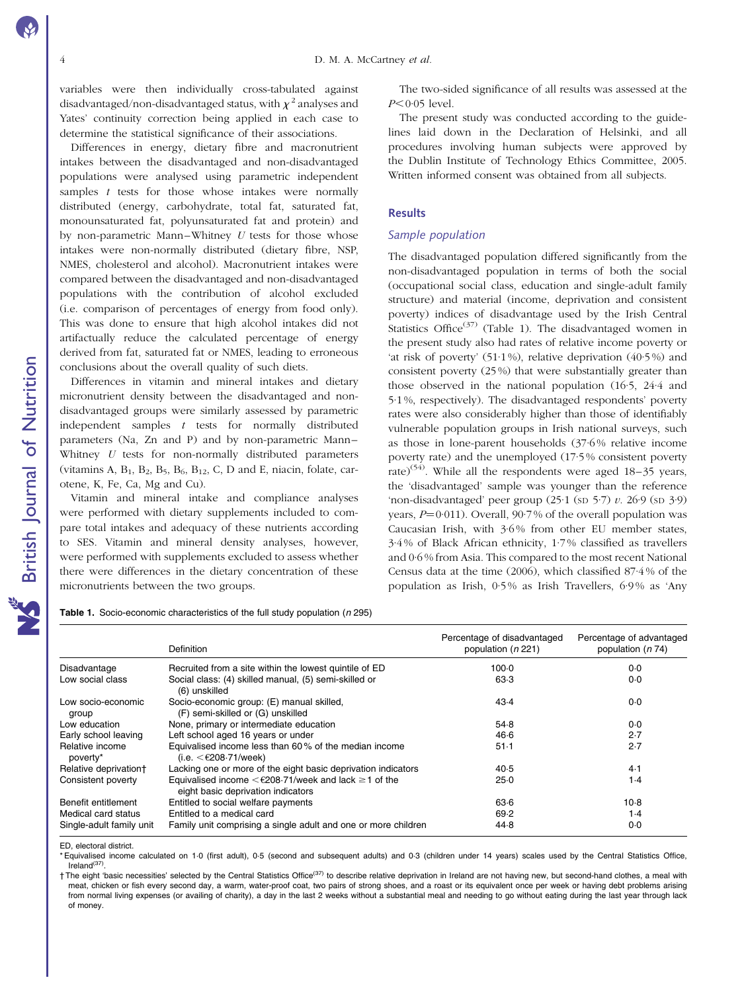variables were then individually cross-tabulated against disadvantaged/non-disadvantaged status, with  $\chi^2$  analyses and Yates' continuity correction being applied in each case to determine the statistical significance of their associations.

Differences in energy, dietary fibre and macronutrient intakes between the disadvantaged and non-disadvantaged populations were analysed using parametric independent samples  $t$  tests for those whose intakes were normally distributed (energy, carbohydrate, total fat, saturated fat, monounsaturated fat, polyunsaturated fat and protein) and by non-parametric Mann–Whitney  $U$  tests for those whose intakes were non-normally distributed (dietary fibre, NSP, NMES, cholesterol and alcohol). Macronutrient intakes were compared between the disadvantaged and non-disadvantaged populations with the contribution of alcohol excluded (i.e. comparison of percentages of energy from food only). This was done to ensure that high alcohol intakes did not artifactually reduce the calculated percentage of energy derived from fat, saturated fat or NMES, leading to erroneous conclusions about the overall quality of such diets.

Differences in vitamin and mineral intakes and dietary micronutrient density between the disadvantaged and nondisadvantaged groups were similarly assessed by parametric independent samples  $t$  tests for normally distributed parameters (Na, Zn and P) and by non-parametric Mann– Whitney U tests for non-normally distributed parameters (vitamins A,  $B_1$ ,  $B_2$ ,  $B_5$ ,  $B_6$ ,  $B_{12}$ , C, D and E, niacin, folate, carotene, K, Fe, Ca, Mg and Cu).

Vitamin and mineral intake and compliance analyses were performed with dietary supplements included to compare total intakes and adequacy of these nutrients according to SES. Vitamin and mineral density analyses, however, were performed with supplements excluded to assess whether there were differences in the dietary concentration of these micronutrients between the two groups.

The two-sided significance of all results was assessed at the  $P<0.05$  level.

The present study was conducted according to the guidelines laid down in the Declaration of Helsinki, and all procedures involving human subjects were approved by the Dublin Institute of Technology Ethics Committee, 2005. Written informed consent was obtained from all subjects.

#### **Results**

#### Sample population

The disadvantaged population differed significantly from the non-disadvantaged population in terms of both the social (occupational social class, education and single-adult family structure) and material (income, deprivation and consistent poverty) indices of disadvantage used by the Irish Central Statistics Office<sup>(37)</sup> (Table 1). The disadvantaged women in the present study also had rates of relative income poverty or 'at risk of poverty'  $(51.1\%)$ , relative deprivation  $(40.5\%)$  and consistent poverty (25 %) that were substantially greater than those observed in the national population (16·5, 24·4 and 5·1 %, respectively). The disadvantaged respondents' poverty rates were also considerably higher than those of identifiably vulnerable population groups in Irish national surveys, such as those in lone-parent households (37·6 % relative income poverty rate) and the unemployed (17·5 % consistent poverty rate)<sup>(54)</sup>. While all the respondents were aged  $18-35$  years, the 'disadvantaged' sample was younger than the reference 'non-disadvantaged' peer group  $(25.1$  (SD  $5.7)$  v. 26.9 (SD  $3.9$ ) years,  $P=0.011$ ). Overall,  $90.7\%$  of the overall population was Caucasian Irish, with 3·6 % from other EU member states, 3·4 % of Black African ethnicity, 1·7 % classified as travellers and 0·6 % from Asia. This compared to the most recent National Census data at the time (2006), which classified 87·4 % of the population as Irish, 0·5 % as Irish Travellers, 6·9 % as 'Any

Table 1. Socio-economic characteristics of the full study population (n 295)

|                                   | Definition                                                                                                                | Percentage of disadvantaged<br>population (n 221) | Percentage of advantaged<br>population $(n 74)$ |
|-----------------------------------|---------------------------------------------------------------------------------------------------------------------------|---------------------------------------------------|-------------------------------------------------|
| Disadvantage                      | Recruited from a site within the lowest quintile of ED                                                                    | $100 - 0$                                         | $0 - 0$                                         |
| Low social class                  | Social class: (4) skilled manual, (5) semi-skilled or<br>(6) unskilled                                                    | 63.3                                              | $0-0$                                           |
| Low socio-economic<br>group       | Socio-economic group: (E) manual skilled,<br>(F) semi-skilled or (G) unskilled                                            | 43.4                                              | $0-0$                                           |
| Low education                     | None, primary or intermediate education                                                                                   | 54.8                                              | $0-0$                                           |
| Early school leaving              | Left school aged 16 years or under                                                                                        | 46.6                                              | 2.7                                             |
| Relative income<br>poverty*       | Equivalised income less than 60% of the median income<br>(i.e. $\leq \epsilon$ 208-71/week)                               | $51-1$                                            | 2.7                                             |
| Relative deprivation <sup>+</sup> | Lacking one or more of the eight basic deprivation indicators                                                             | 40.5                                              | 4.1                                             |
| Consistent poverty                | Equivalised income $\leq \text{\textsterling}208.71$ /week and lack $\geq 1$ of the<br>eight basic deprivation indicators | 25.0                                              | 1.4                                             |
| Benefit entitlement               | Entitled to social welfare payments                                                                                       | 63.6                                              | $10-8$                                          |
| Medical card status               | Entitled to a medical card                                                                                                | 69.2                                              | 1.4                                             |
| Single-adult family unit          | Family unit comprising a single adult and one or more children                                                            | 44.8                                              | $0 - 0$                                         |

ED, electoral district.

\* Equivalised income calculated on 1·0 (first adult), 0·5 (second and subsequent adults) and 0·3 (children under 14 years) scales used by the Central Statistics Office,  $I$ reland $(37)$ 

† The eight 'basic necessities' selected by the Central Statistics Office(37) to describe relative deprivation in Ireland are not having new, but second-hand clothes, a meal with meat, chicken or fish every second day, a warm, water-proof coat, two pairs of strong shoes, and a roast or its equivalent once per week or having debt problems arising from normal living expenses (or availing of charity), a day in the last 2 weeks without a substantial meal and needing to go without eating during the last year through lack of money.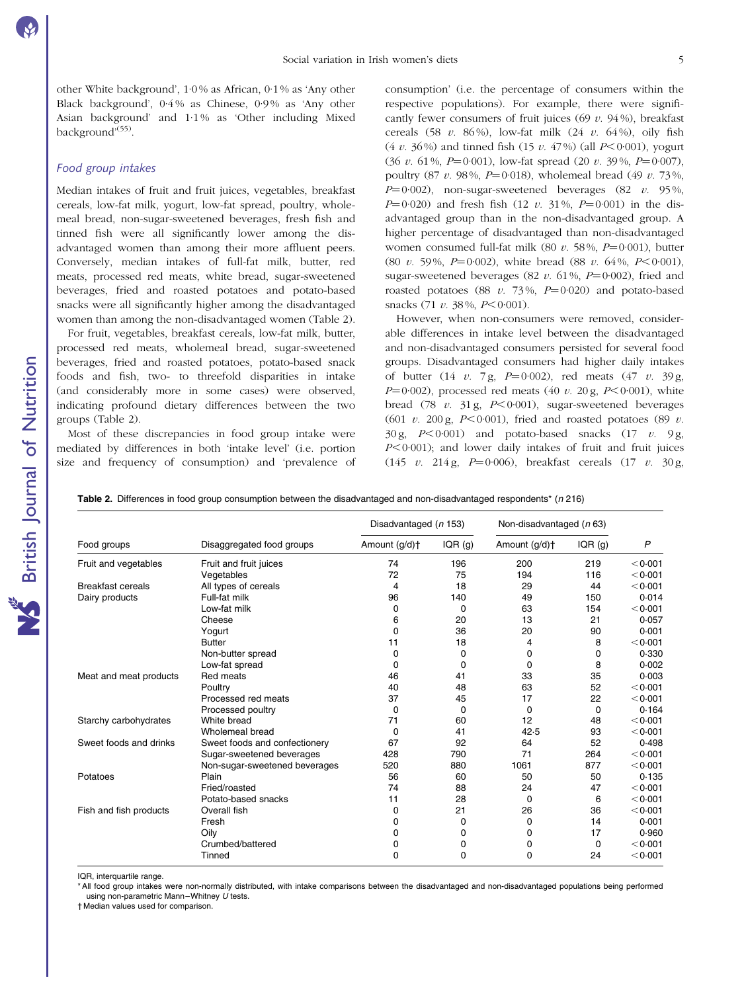other White background', 1·0 % as African, 0·1 % as 'Any other Black background', 0·4 % as Chinese, 0·9 % as 'Any other Asian background' and 1·1 % as 'Other including Mixed background<sup>,(55)</sup>.

#### Food group intakes

Median intakes of fruit and fruit juices, vegetables, breakfast cereals, low-fat milk, yogurt, low-fat spread, poultry, wholemeal bread, non-sugar-sweetened beverages, fresh fish and tinned fish were all significantly lower among the disadvantaged women than among their more affluent peers. Conversely, median intakes of full-fat milk, butter, red meats, processed red meats, white bread, sugar-sweetened beverages, fried and roasted potatoes and potato-based snacks were all significantly higher among the disadvantaged women than among the non-disadvantaged women (Table 2).

For fruit, vegetables, breakfast cereals, low-fat milk, butter, processed red meats, wholemeal bread, sugar-sweetened beverages, fried and roasted potatoes, potato-based snack foods and fish, two- to threefold disparities in intake (and considerably more in some cases) were observed, indicating profound dietary differences between the two groups (Table 2).

Most of these discrepancies in food group intake were mediated by differences in both 'intake level' (i.e. portion size and frequency of consumption) and 'prevalence of

consumption' (i.e. the percentage of consumers within the respective populations). For example, there were significantly fewer consumers of fruit juices (69  $\nu$ , 94%), breakfast cereals (58 v. 86%), low-fat milk (24 v. 64%), oily fish  $(4 v. 36\%)$  and tinned fish  $(15 v. 47\%)$  (all  $P<0.001$ ), yogurt  $(36 v. 61\%, P=0.001)$ , low-fat spread  $(20 v. 39\%, P=0.007)$ , poultry  $(87 v. 98\%, P=0.018)$ , wholemeal bread  $(49 v. 73\%$ ,  $P=0.002$ ), non-sugar-sweetened beverages (82 v. 95%,  $P=0.020$ ) and fresh fish (12 v. 31%,  $P=0.001$ ) in the disadvantaged group than in the non-disadvantaged group. A higher percentage of disadvantaged than non-disadvantaged women consumed full-fat milk (80  $\nu$ . 58%, P=0·001), butter (80 v. 59%,  $P=0.002$ ), white bread (88 v. 64%,  $P<0.001$ ), sugar-sweetened beverages (82  $v$ . 61%,  $P=0.002$ ), fried and roasted potatoes (88 v. 73%,  $P=0.020$ ) and potato-based snacks (71  $v$ . 38%,  $P \le 0.001$ ).

However, when non-consumers were removed, considerable differences in intake level between the disadvantaged and non-disadvantaged consumers persisted for several food groups. Disadvantaged consumers had higher daily intakes of butter (14 v. 7 g,  $P=0.002$ ), red meats (47 v. 39 g,  $P=0.002$ ), processed red meats (40 v. 20 g,  $P<0.001$ ), white bread (78 v. 31 g,  $P<0.001$ ), sugar-sweetened beverages (601 v. 200 g,  $P \le 0.001$ ), fried and roasted potatoes (89 v.  $30 g$ ,  $P < 0.001$ ) and potato-based snacks (17 v. 9 g,  $P<0.001$ ); and lower daily intakes of fruit and fruit juices (145 v. 214 g,  $P=0.006$ ), breakfast cereals (17 v. 30 g,

Table 2. Differences in food group consumption between the disadvantaged and non-disadvantaged respondents\* (n 216)

|                        |                               | Disadvantaged (n 153) |        | Non-disadvantaged (n 63) |        |                |
|------------------------|-------------------------------|-----------------------|--------|--------------------------|--------|----------------|
| Food groups            | Disaggregated food groups     | Amount (g/d)+         | IQR(g) | Amount (g/d)+            | IQR(g) | $\overline{P}$ |
| Fruit and vegetables   | Fruit and fruit juices        | 74                    | 196    | 200                      | 219    | < 0.001        |
|                        | Vegetables                    | 72                    | 75     | 194                      | 116    | < 0.001        |
| Breakfast cereals      | All types of cereals          | 4                     | 18     | 29                       | 44     | < 0.001        |
| Dairy products         | Full-fat milk                 | 96                    | 140    | 49                       | 150    | 0.014          |
|                        | Low-fat milk                  | 0                     | 0      | 63                       | 154    | < 0.001        |
|                        | Cheese                        | 6                     | 20     | 13                       | 21     | 0.057          |
|                        | Yogurt                        | $\Omega$              | 36     | 20                       | 90     | 0.001          |
|                        | <b>Butter</b>                 | 11                    | 18     | 4                        | 8      | < 0.001        |
|                        | Non-butter spread             | 0                     | 0      | 0                        | 0      | 0.330          |
|                        | Low-fat spread                | 0                     | 0      | 0                        | 8      | 0.002          |
| Meat and meat products | Red meats                     | 46                    | 41     | 33                       | 35     | 0.003          |
|                        | Poultry                       | 40                    | 48     | 63                       | 52     | < 0.001        |
|                        | Processed red meats           | 37                    | 45     | 17                       | 22     | < 0.001        |
|                        | Processed poultry             | 0                     | 0      | 0                        | 0      | 0.164          |
| Starchy carbohydrates  | White bread                   | 71                    | 60     | 12                       | 48     | < 0.001        |
|                        | Wholemeal bread               | 0                     | 41     | 42.5                     | 93     | < 0.001        |
| Sweet foods and drinks | Sweet foods and confectionery | 67                    | 92     | 64                       | 52     | 0.498          |
|                        | Sugar-sweetened beverages     | 428                   | 790    | 71                       | 264    | < 0.001        |
|                        | Non-sugar-sweetened beverages | 520                   | 880    | 1061                     | 877    | < 0.001        |
| Potatoes               | Plain                         | 56                    | 60     | 50                       | 50     | 0.135          |
|                        | Fried/roasted                 | 74                    | 88     | 24                       | 47     | < 0.001        |
|                        | Potato-based snacks           | 11                    | 28     | 0                        | 6      | < 0.001        |
| Fish and fish products | Overall fish                  | 0                     | 21     | 26                       | 36     | < 0.001        |
|                        | Fresh                         | 0                     | 0      | 0                        | 14     | 0.001          |
|                        | Oily                          | 0                     | 0      | 0                        | 17     | 0.960          |
|                        | Crumbed/battered              | 0                     | 0      | 0                        | 0      | < 0.001        |
|                        | Tinned                        | 0                     | 0      | 0                        | 24     | < 0.001        |

IQR, interquartile range.

\* All food group intakes were non-normally distributed, with intake comparisons between the disadvantaged and non-disadvantaged populations being performed using non-parametric Mann–Whitney U tests.

† Median values used for comparison.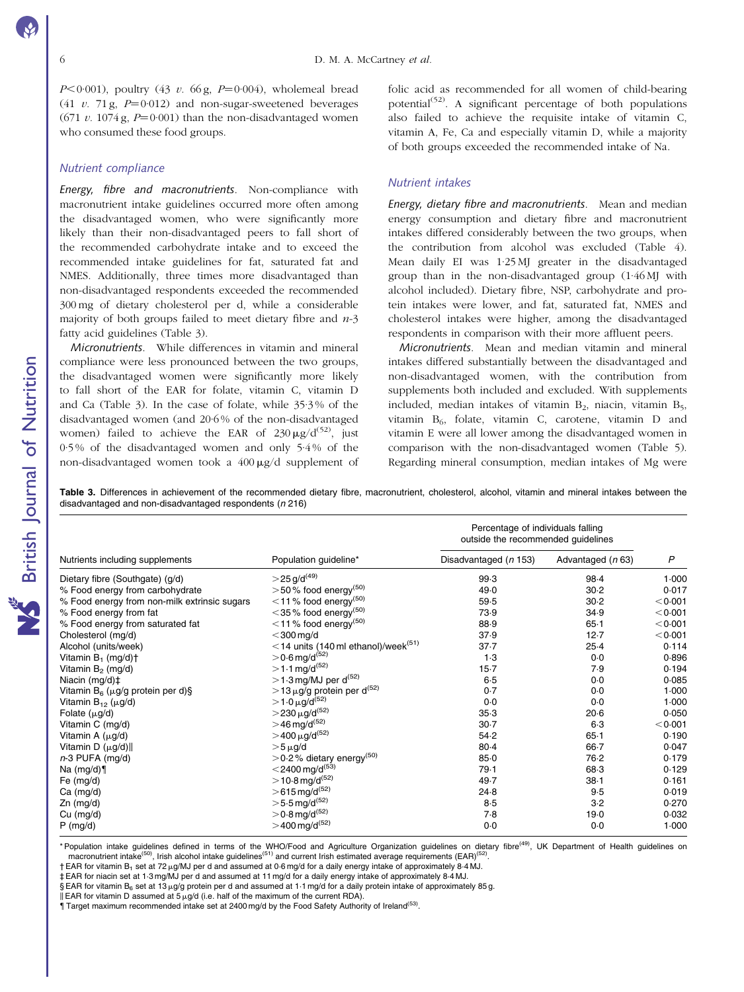$P<0.001$ ), poultry (43 v. 66 g,  $P=0.004$ ), wholemeal bread (41 v. 71 g,  $P=0.012$ ) and non-sugar-sweetened beverages (671  $v$ . 1074 g,  $P=0.001$ ) than the non-disadvantaged women who consumed these food groups.

#### Nutrient compliance

Energy, fibre and macronutrients. Non-compliance with macronutrient intake guidelines occurred more often among the disadvantaged women, who were significantly more likely than their non-disadvantaged peers to fall short of the recommended carbohydrate intake and to exceed the recommended intake guidelines for fat, saturated fat and NMES. Additionally, three times more disadvantaged than non-disadvantaged respondents exceeded the recommended 300 mg of dietary cholesterol per d, while a considerable majority of both groups failed to meet dietary fibre and  $n-3$ fatty acid guidelines (Table 3).

Micronutrients. While differences in vitamin and mineral compliance were less pronounced between the two groups, the disadvantaged women were significantly more likely to fall short of the EAR for folate, vitamin C, vitamin D and Ca (Table 3). In the case of folate, while 35·3 % of the disadvantaged women (and 20·6 % of the non-disadvantaged women) failed to achieve the EAR of  $230 \mu g/d^{(52)}$ , just 0·5 % of the disadvantaged women and only 5·4 % of the non-disadvantaged women took a  $400 \mu g/d$  supplement of

folic acid as recommended for all women of child-bearing potential<sup>(52)</sup>. A significant percentage of both populations also failed to achieve the requisite intake of vitamin C, vitamin A, Fe, Ca and especially vitamin D, while a majority of both groups exceeded the recommended intake of Na.

#### Nutrient intakes

Energy, dietary fibre and macronutrients. Mean and median energy consumption and dietary fibre and macronutrient intakes differed considerably between the two groups, when the contribution from alcohol was excluded ([Table 4](#page-7-0)). Mean daily EI was 1·25 MJ greater in the disadvantaged group than in the non-disadvantaged group (1·46 MJ with alcohol included). Dietary fibre, NSP, carbohydrate and protein intakes were lower, and fat, saturated fat, NMES and cholesterol intakes were higher, among the disadvantaged respondents in comparison with their more affluent peers.

Micronutrients. Mean and median vitamin and mineral intakes differed substantially between the disadvantaged and non-disadvantaged women, with the contribution from supplements both included and excluded. With supplements included, median intakes of vitamin  $B_2$ , niacin, vitamin  $B_5$ , vitamin  $B_6$ , folate, vitamin C, carotene, vitamin D and vitamin E were all lower among the disadvantaged women in comparison with the non-disadvantaged women ([Table 5](#page-8-0)). Regarding mineral consumption, median intakes of Mg were

Table 3. Differences in achievement of the recommended dietary fibre, macronutrient, cholesterol, alcohol, vitamin and mineral intakes between the disadvantaged and non-disadvantaged respondents (n 216)

|                                              |                                                    | Percentage of individuals falling<br>outside the recommended guidelines |                   |         |
|----------------------------------------------|----------------------------------------------------|-------------------------------------------------------------------------|-------------------|---------|
| Nutrients including supplements              | Population guideline*                              | Disadvantaged (n 153)                                                   | Advantaged (n 63) | P       |
| Dietary fibre (Southgate) (g/d)              | $>$ 25 g/d <sup>(49)</sup>                         | 99.3                                                                    | 98.4              | 1.000   |
| % Food energy from carbohydrate              | $>$ 50% food energy <sup>(50)</sup>                | 49.0                                                                    | $30 - 2$          | 0.017   |
| % Food energy from non-milk extrinsic sugars | $<$ 11% food energy <sup>(50)</sup>                | 59.5                                                                    | 30.2              | < 0.001 |
| % Food energy from fat                       | $<$ 35% food energy <sup>(50)</sup>                | 73.9                                                                    | 34.9              | < 0.001 |
| % Food energy from saturated fat             | $<$ 11% food energy <sup>(50)</sup>                | 88.9                                                                    | $65-1$            | < 0.001 |
| Cholesterol (mg/d)                           | $<$ 300 mg/d                                       | 37.9                                                                    | 12.7              | < 0.001 |
| Alcohol (units/week)                         | $<$ 14 units (140 ml ethanol)/week <sup>(51)</sup> | $37 - 7$                                                                | $25-4$            | 0.114   |
| Vitamin $B_1$ (mg/d)†                        | $>$ 0.6 mg/d <sup>(52)</sup>                       | 1.3                                                                     | 0.0               | 0.896   |
| Vitamin $B_2$ (mg/d)                         | $>1.1$ mg/d <sup>(52)</sup>                        | $15-7$                                                                  | 7.9               | 0.194   |
| Niacin (mg/d)‡                               | $>1.3$ mg/MJ per d <sup>(52)</sup>                 | 6.5                                                                     | $0-0$             | 0.085   |
| Vitamin $B_6$ ( $\mu$ g/g protein per d)§    | $>$ 13 µg/g protein per d <sup>(52)</sup>          | 0.7                                                                     | 0.0               | 1.000   |
| Vitamin $B_{12}$ ( $\mu$ g/d)                | $>1.0 \,\mu g/d^{(52)}$                            | 0.0                                                                     | 0.0               | 1.000   |
| Folate $(\mu g/d)$                           | $>$ 230 $\mu$ g/d <sup>(52)</sup>                  | 35.3                                                                    | $20-6$            | 0.050   |
| Vitamin C (mg/d)                             | $>$ 46 mg/d <sup>(52)</sup>                        | $30-7$                                                                  | $6-3$             | < 0.001 |
| Vitamin A $(\mu g/d)$                        | $>$ 400 µg/d <sup>(52)</sup>                       | 54.2                                                                    | $65-1$            | 0.190   |
| Vitamin $D(\mu g/d)$                         | $>5 \mu$ g/d                                       | $80-4$                                                                  | $66 - 7$          | 0.047   |
| $n-3$ PUFA (mg/d)                            | $>$ 0.2% dietary energy <sup>(50)</sup>            | $85-0$                                                                  | 76.2              | 0.179   |
| Na (mg/d)¶                                   | $<$ 2400 mg/d <sup>(53)</sup>                      | 79.1                                                                    | 68.3              | 0.129   |
| Fe (mg/d)                                    | $>$ 10.8 mg/d <sup>(52)</sup>                      | 49.7                                                                    | $38 - 1$          | 0.161   |
| Ca (mg/d)                                    | $>615 \,\mathrm{mg/d}^{(52)}$                      | 24.8                                                                    | 9.5               | 0.019   |
| $Zn$ (mg/d)                                  | $>$ 5.5 mg/d <sup>(52)</sup>                       | 8.5                                                                     | $3-2$             | 0.270   |
| $Cu$ (mg/d)                                  | $>$ 0.8 mg/d <sup>(52)</sup>                       | 7.8                                                                     | 19.0              | 0.032   |
| $P$ (mg/d)                                   | $>$ 400 mg/d <sup>(52)</sup>                       | 0.0                                                                     | 0.0               | 1.000   |

\*Population intake guidelines defined in terms of the WHO/Food and Agriculture Organization guidelines on dietary fibre<sup>(49)</sup>, UK Department of Health guidelines on<br>macronutrient intake<sup>(50)</sup>, Irish alcohol intake guidelin

 $\dagger$  EAR for vitamin B<sub>1</sub> set at 72 µg/MJ per d and assumed at 0·6 mg/d for a daily energy intake of approximately 8·4 MJ.

‡ EAR for niacin set at 1·3 mg/MJ per d and assumed at 11 mg/d for a daily energy intake of approximately 8·4 MJ.

§ EAR for vitamin B<sub>6</sub> set at 13 µg/g protein per d and assumed at 1·1 mg/d for a daily protein intake of approximately 85 g.

 $\parallel$  EAR for vitamin D assumed at 5  $\mu$ g/d (i.e. half of the maximum of the current RDA).

Target maximum recommended intake set at 2400 mg/d by the Food Safety Authority of Ireland<sup>(53)</sup>.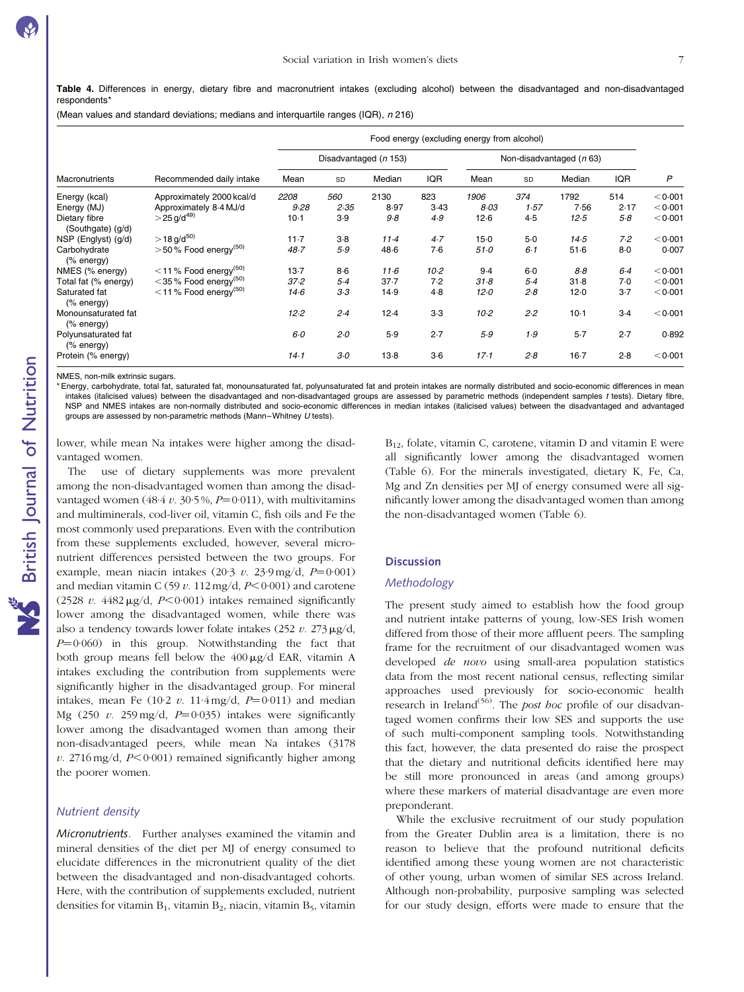<span id="page-7-0"></span>Table 4. Differences in energy, dietary fibre and macronutrient intakes (excluding alcohol) between the disadvantaged and non-disadvantaged respondents<sup>\*</sup>

|                                    | Recommended daily intake             | Food energy (excluding energy from alcohol) |           |        |            |                          |       |          |            |         |
|------------------------------------|--------------------------------------|---------------------------------------------|-----------|--------|------------|--------------------------|-------|----------|------------|---------|
| <b>Macronutrients</b>              |                                      | Disadvantaged (n 153)                       |           |        |            | Non-disadvantaged (n 63) |       |          |            |         |
|                                    |                                      | Mean                                        | <b>SD</b> | Median | <b>IQR</b> | Mean                     | SD    | Median   | <b>IQR</b> | P       |
| Energy (kcal)                      | Approximately 2000 kcal/d            | 2208                                        | 560       | 2130   | 823        | 1906                     | 374   | 1792     | 514        | < 0.001 |
| Energy (MJ)                        | Approximately 8-4 MJ/d               | 9.28                                        | 2.35      | 8.97   | 3.43       | 8.03                     | 1.57  | 7.56     | 2.17       | < 0.001 |
| Dietary fibre<br>(Southgate) (g/d) | $>$ 25 g/d <sup>49)</sup>            | $10-1$                                      | 3.9       | 9.8    | 4.9        | 12.6                     | 4.5   | 12.5     | 5·8        | < 0.001 |
| NSP (Englyst) (g/d)                | $>$ 18 g/d <sup>50)</sup>            | $11-7$                                      | $3-8$     | $11-4$ | 4.7        | $15-0$                   | $5-0$ | 14.5     | 7.2        | < 0.001 |
| Carbohydrate<br>(% energy)         | $>$ 50% Food energy <sup>(50)</sup>  | 48.7                                        | 5.9       | 48.6   | 7.6        | 51.0                     | 6.1   | $51-6$   | $8-0$      | 0.007   |
| NMES (% energy)                    | $<$ 11 % Food energy <sup>(50)</sup> | 13.7                                        | $8-6$     | $11-6$ | $10-2$     | 9.4                      | $6-0$ | 8.8      | $6-4$      | < 0.001 |
| Total fat (% energy)               | $<$ 35% Food energy <sup>(50)</sup>  | 37.2                                        | $5-4$     | 37.7   | 7.2        | 31.8                     | 5.4   | 31.8     | 7.0        | < 0.001 |
| Saturated fat<br>(% energy)        | $<$ 11% Food energy <sup>(50)</sup>  | 14.6                                        | $3-3$     | 14.9   | 4.8        | 12.0                     | 2.8   | 12.0     | $3-7$      | < 0.001 |
| Monounsaturated fat<br>(% energy)  |                                      | 12.2                                        | 2.4       | 12.4   | $3-3$      | $10-2$                   | 2.2   | $10-1$   | $3-4$      | < 0.001 |
| Polyunsaturated fat<br>(% energy)  |                                      | 6·0                                         | 2.0       | 5.9    | 2.7        | 5.9                      | 1.9   | 5.7      | 2.7        | 0.892   |
| Protein (% energy)                 |                                      | 14.1                                        | 3.0       | $13-8$ | $3-6$      | 17.1                     | 2.8   | $16 - 7$ | 2.8        | < 0.001 |

NMES, non-milk extrinsic sugars.

Energy, carbohydrate, total fat, saturated fat, monounsaturated fat, polyunsaturated fat and protein intakes are normally distributed and socio-economic differences in mean intakes (italicised values) between the disadvantaged and non-disadvantaged groups are assessed by parametric methods (independent samples t tests). Dietary fibre, NSP and NMES intakes are non-normally distributed and socio-economic differences in median intakes (italicised values) between the disadvantaged and advantaged groups are assessed by non-parametric methods (Mann–Whitney U tests).

lower, while mean Na intakes were higher among the disadvantaged women.

The use of dietary supplements was more prevalent among the non-disadvantaged women than among the disadvantaged women (48·4  $v$ . 30·5%,  $P=0.011$ ), with multivitamins and multiminerals, cod-liver oil, vitamin C, fish oils and Fe the most commonly used preparations. Even with the contribution from these supplements excluded, however, several micronutrient differences persisted between the two groups. For example, mean niacin intakes (20.3 v. 23.9 mg/d,  $P=0.001$ ) and median vitamin C (59  $v$ . 112 mg/d,  $P < 0.001$ ) and carotene (2528 v.  $4482 \mu$ g/d, P<0.001) intakes remained significantly lower among the disadvantaged women, while there was also a tendency towards lower folate intakes  $(252 \nu. 273 \mu\text{g/d})$ .  $P=0.060$ ) in this group. Notwithstanding the fact that both group means fell below the  $400 \mu g/d$  EAR, vitamin A intakes excluding the contribution from supplements were significantly higher in the disadvantaged group. For mineral intakes, mean Fe (10.2 v. 11.4 mg/d,  $P=0.011$ ) and median Mg (250 v. 259 mg/d,  $P=0.035$ ) intakes were significantly lower among the disadvantaged women than among their non-disadvantaged peers, while mean Na intakes (3178 v. 2716 mg/d,  $P < 0.001$ ) remained significantly higher among the poorer women.

#### Nutrient density

Micronutrients. Further analyses examined the vitamin and mineral densities of the diet per MJ of energy consumed to elucidate differences in the micronutrient quality of the diet between the disadvantaged and non-disadvantaged cohorts. Here, with the contribution of supplements excluded, nutrient densities for vitamin  $B_1$ , vitamin  $B_2$ , niacin, vitamin  $B_5$ , vitamin

B12, folate, vitamin C, carotene, vitamin D and vitamin E were all significantly lower among the disadvantaged women ([Table 6\)](#page-9-0). For the minerals investigated, dietary K, Fe, Ca, Mg and Zn densities per MJ of energy consumed were all significantly lower among the disadvantaged women than among the non-disadvantaged women [\(Table 6\)](#page-9-0).

#### **Discussion**

#### Methodology

The present study aimed to establish how the food group and nutrient intake patterns of young, low-SES Irish women differed from those of their more affluent peers. The sampling frame for the recruitment of our disadvantaged women was developed de novo using small-area population statistics data from the most recent national census, reflecting similar approaches used previously for socio-economic health research in Ireland<sup> $(56)$ </sup>. The *post hoc* profile of our disadvantaged women confirms their low SES and supports the use of such multi-component sampling tools. Notwithstanding this fact, however, the data presented do raise the prospect that the dietary and nutritional deficits identified here may be still more pronounced in areas (and among groups) where these markers of material disadvantage are even more preponderant.

While the exclusive recruitment of our study population from the Greater Dublin area is a limitation, there is no reason to believe that the profound nutritional deficits identified among these young women are not characteristic of other young, urban women of similar SES across Ireland. Although non-probability, purposive sampling was selected for our study design, efforts were made to ensure that the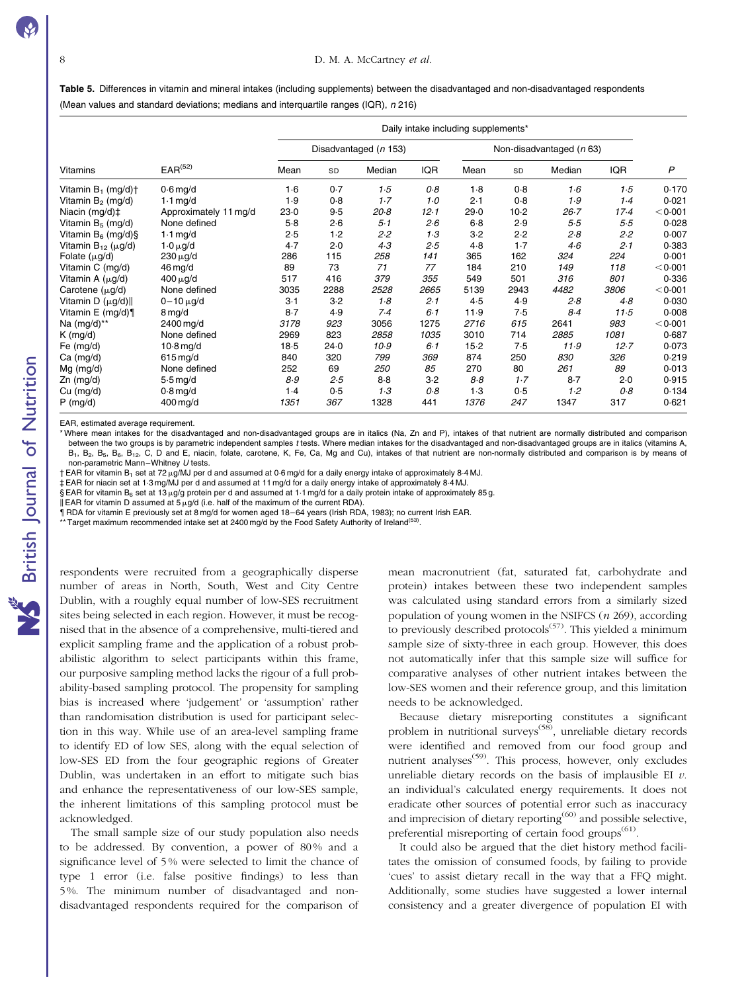<span id="page-8-0"></span>Table 5. Differences in vitamin and mineral intakes (including supplements) between the disadvantaged and non-disadvantaged respondents (Mean values and standard deviations; medians and interquartile ranges (IQR), n 216)

|                                |                       | Daily intake including supplements* |           |                       |            |                          |           |          |      |              |
|--------------------------------|-----------------------|-------------------------------------|-----------|-----------------------|------------|--------------------------|-----------|----------|------|--------------|
| Vitamins                       |                       |                                     |           | Disadvantaged (n 153) |            | Non-disadvantaged (n 63) |           |          |      |              |
|                                | EAR <sup>(52)</sup>   | Mean                                | <b>SD</b> | Median                | <b>IQR</b> | Mean                     | <b>SD</b> | Median   | IQR  | $\mathsf{P}$ |
| Vitamin $B_1$ (mg/d) $\dagger$ | $0.6$ mg/d            | $1-6$                               | 0.7       | 1.5                   | 0.8        | $1-8$                    | 0.8       | 1·6      | 1.5  | 0.170        |
| Vitamin $B_2$ (mg/d)           | $1.1 \text{ mg/d}$    | 1.9                                 | 0.8       | 1.7                   | $1-0$      | 2.1                      | 0.8       | 1.9      | 1.4  | 0.021        |
| Niacin (mg/d)‡                 | Approximately 11 mg/d | $23-0$                              | 9.5       | 20.8                  | 12.1       | 29.0                     | $10-2$    | $26 - 7$ | 17.4 | < 0.001      |
| Vitamin $B_5$ (mg/d)           | None defined          | $5-8$                               | 2.6       | 5.1                   | 2.6        | $6 - 8$                  | 2.9       | 5.5      | 5.5  | 0.028        |
| Vitamin $B_6$ (mg/d) $\S$      | $1.1$ mg/d            | 2.5                                 | 1.2       | 2.2                   | 1.3        | $3-2$                    | 2.2       | 2.8      | 2.2  | 0.007        |
| Vitamin $B_{12}$ ( $\mu$ g/d)  | $1.0 \mu$ g/d         | 4.7                                 | 2.0       | 4.3                   | 2.5        | 4.8                      | $1-7$     | 4.6      | 2.1  | 0.383        |
| Folate $(\mu q/d)$             | $230 \mu g/d$         | 286                                 | 115       | 258                   | 141        | 365                      | 162       | 324      | 224  | 0.001        |
| Vitamin C (mg/d)               | $46 \,\mathrm{mg/d}$  | 89                                  | 73        | 71                    | 77         | 184                      | 210       | 149      | 118  | < 0.001      |
| Vitamin A $(\mu g/d)$          | $400 \mu g/d$         | 517                                 | 416       | 379                   | 355        | 549                      | 501       | 316      | 801  | 0.336        |
| Carotene $(\mu g/d)$           | None defined          | 3035                                | 2288      | 2528                  | 2665       | 5139                     | 2943      | 4482     | 3806 | < 0.001      |
| Vitamin D (µg/d)               | $0 - 10 \mu g/d$      | $3-1$                               | $3-2$     | 1.8                   | 2.1        | 4.5                      | 4.9       | 2.8      | 4.8  | 0.030        |
| Vitamin E (mg/d)               | 8 mg/d                | $8-7$                               | 4.9       | 7.4                   | 6.1        | 11.9                     | 7.5       | 8.4      | 11.5 | 0.008        |
| Na (mg/d)**                    | 2400 mg/d             | 3178                                | 923       | 3056                  | 1275       | 2716                     | 615       | 2641     | 983  | < 0.001      |
| $K$ (mg/d)                     | None defined          | 2969                                | 823       | 2858                  | 1035       | 3010                     | 714       | 2885     | 1081 | 0.687        |
| Fe (mg/d)                      | $10.8$ mg/d           | $18-5$                              | 24.0      | 10.9                  | 6.1        | $15-2$                   | 7.5       | 11.9     | 12.7 | 0.073        |
| $Ca$ (mg/d)                    | $615$ mg/d            | 840                                 | 320       | 799                   | 369        | 874                      | 250       | 830      | 326  | 0.219        |
| $Mg$ (mg/d)                    | None defined          | 252                                 | 69        | 250                   | 85         | 270                      | 80        | 261      | 89   | 0.013        |
| $Zn$ (mg/d)                    | $5.5 \,\mathrm{mg/d}$ | 8.9                                 | 2.5       | $8-8$                 | 3.2        | 8.8                      | 1.7       | $8-7$    | 2.0  | 0.915        |
| Cu (mg/d)                      | $0.8$ mg/d            | 1.4                                 | 0.5       | 1.3                   | 0.8        | $1-3$                    | 0.5       | 1.2      | 0.8  | 0.134        |
| $P$ (mg/d)                     | 400 mg/d              | 1351                                | 367       | 1328                  | 441        | 1376                     | 247       | 1347     | 317  | 0.621        |

EAR, estimated average requirement.

\* Where mean intakes for the disadvantaged and non-disadvantaged groups are in italics (Na, Zn and P), intakes of that nutrient are normally distributed and comparison between the two groups is by parametric independent samples t tests. Where median intakes for the disadvantaged and non-disadvantaged groups are in italics (vitamins A, B<sub>1</sub>, B<sub>2</sub>, B<sub>5</sub>, B<sub>6</sub>, B<sub>12</sub>, C, D and E, niacin, folate, carotene, K, Fe, Ca, Mg and Cu), intakes of that nutrient are non-normally distributed and comparison is by means of

non-parametric Mann–Whitney U tests.

 $\dagger$  EAR for vitamin B<sub>1</sub> set at 72 µg/MJ per d and assumed at 0·6 mg/d for a daily energy intake of approximately 8·4 MJ

‡ EAR for niacin set at 1·3 mg/MJ per d and assumed at 11 mg/d for a daily energy intake of approximately 8·4 MJ.

§ EAR for vitamin B<sub>6</sub> set at 13 µg/g protein per d and assumed at 1·1 mg/d for a daily protein intake of approximately 85 g.

 $\parallel$  EAR for vitamin D assumed at 5  $\mu$ g/d (i.e. half of the maximum of the current RDA).

{ RDA for vitamin E previously set at 8 mg/d for women aged 18–64 years (Irish RDA, 1983); no current Irish EAR.

\*\* Target maximum recommended intake set at 2400 mg/d by the Food Safety Authority of Ireland<sup>(53)</sup>

respondents were recruited from a geographically disperse number of areas in North, South, West and City Centre Dublin, with a roughly equal number of low-SES recruitment sites being selected in each region. However, it must be recognised that in the absence of a comprehensive, multi-tiered and explicit sampling frame and the application of a robust probabilistic algorithm to select participants within this frame, our purposive sampling method lacks the rigour of a full probability-based sampling protocol. The propensity for sampling bias is increased where 'judgement' or 'assumption' rather than randomisation distribution is used for participant selection in this way. While use of an area-level sampling frame to identify ED of low SES, along with the equal selection of low-SES ED from the four geographic regions of Greater Dublin, was undertaken in an effort to mitigate such bias and enhance the representativeness of our low-SES sample, the inherent limitations of this sampling protocol must be acknowledged.

The small sample size of our study population also needs to be addressed. By convention, a power of 80 % and a significance level of 5% were selected to limit the chance of type 1 error (i.e. false positive findings) to less than 5 %. The minimum number of disadvantaged and nondisadvantaged respondents required for the comparison of

mean macronutrient (fat, saturated fat, carbohydrate and protein) intakes between these two independent samples was calculated using standard errors from a similarly sized population of young women in the NSIFCS  $(n 269)$ , according to previously described protocols<sup> $(57)$ </sup>. This yielded a minimum sample size of sixty-three in each group. However, this does not automatically infer that this sample size will suffice for comparative analyses of other nutrient intakes between the low-SES women and their reference group, and this limitation needs to be acknowledged.

Because dietary misreporting constitutes a significant problem in nutritional surveys<sup>(58)</sup>, unreliable dietary records were identified and removed from our food group and nutrient analyses<sup> $(59)$ </sup>. This process, however, only excludes unreliable dietary records on the basis of implausible EI  $v$ . an individual's calculated energy requirements. It does not eradicate other sources of potential error such as inaccuracy and imprecision of dietary reporting $(60)$  and possible selective, preferential misreporting of certain food groups<sup> $(61)$ </sup>.

It could also be argued that the diet history method facilitates the omission of consumed foods, by failing to provide 'cues' to assist dietary recall in the way that a FFQ might. Additionally, some studies have suggested a lower internal consistency and a greater divergence of population EI with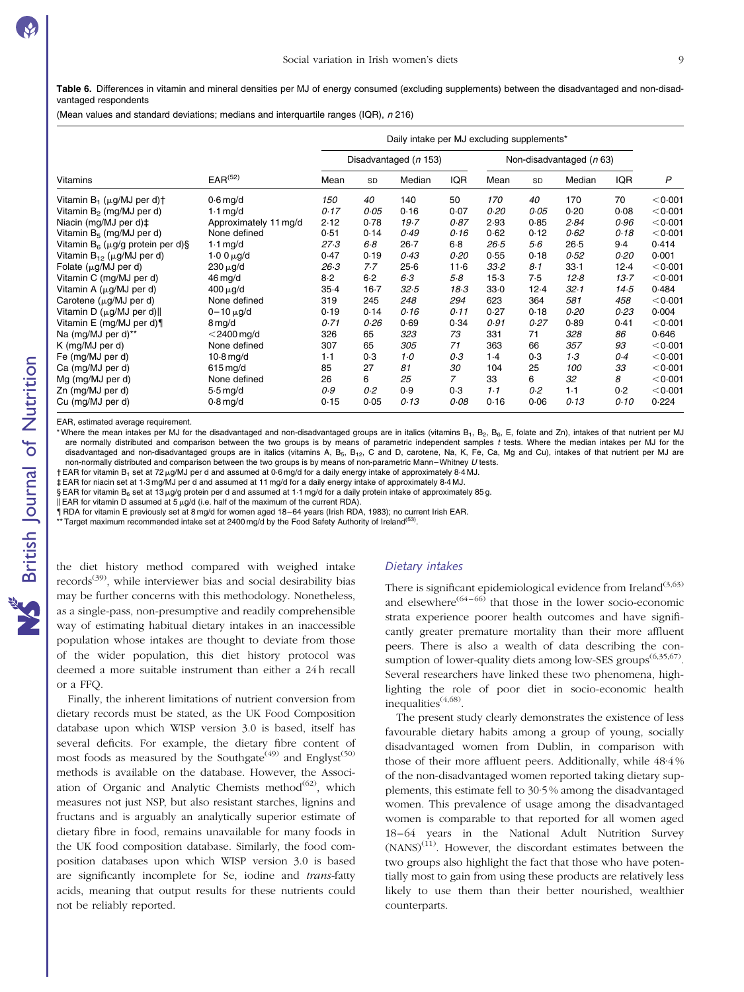<span id="page-9-0"></span>Table 6. Differences in vitamin and mineral densities per MJ of energy consumed (excluding supplements) between the disadvantaged and non-disadvantaged respondents

(Mean values and standard deviations; medians and interquartile ranges (IQR), n 216)

|                                           |                       | Daily intake per MJ excluding supplements* |        |          |                |                          |           |          |            |              |
|-------------------------------------------|-----------------------|--------------------------------------------|--------|----------|----------------|--------------------------|-----------|----------|------------|--------------|
|                                           | EAR <sup>(52)</sup>   | Disadvantaged (n 153)                      |        |          |                | Non-disadvantaged (n 63) |           |          |            |              |
| <b>Vitamins</b>                           |                       | Mean                                       | SD     | Median   | <b>IQR</b>     | Mean                     | <b>SD</b> | Median   | <b>IQR</b> | $\mathsf{P}$ |
| Vitamin $B_1$ ( $\mu$ g/MJ per d)†        | $0.6$ mg/d            | 150                                        | 40     | 140      | 50             | 170                      | 40        | 170      | 70         | < 0.001      |
| Vitamin $B_2$ (mg/MJ per d)               | $1.1$ mg/d            | 0.17                                       | 0.05   | 0.16     | 0.07           | 0.20                     | 0.05      | 0.20     | 0.08       | < 0.001      |
| Niacin (mg/MJ per d)‡                     | Approximately 11 mg/d | 2.12                                       | 0.78   | 19.7     | 0.87           | 2.93                     | 0.85      | 2.84     | 0.96       | < 0.001      |
| Vitamin $B_5$ (mg/MJ per d)               | None defined          | 0.51                                       | 0.14   | 0.49     | 0.16           | 0.62                     | 0.12      | 0.62     | 0.18       | < 0.001      |
| Vitamin $B_6$ ( $\mu$ g/g protein per d)§ | $1.1$ mg/d            | 27.3                                       | $6-8$  | $26 - 7$ | $6 - 8$        | 26.5                     | 5.6       | $26-5$   | 9.4        | 0.414        |
| Vitamin $B_{12}$ ( $\mu$ g/MJ per d)      | $1.00 \mu$ g/d        | 0.47                                       | 0.19   | 0.43     | 0.20           | 0.55                     | 0.18      | 0.52     | 0.20       | 0.001        |
| Folate $(\mu g/MJ \text{ per d})$         | $230 \mu g/d$         | 26.3                                       | 7.7    | $25-6$   | $11-6$         | $33 - 2$                 | 8.1       | $33 - 1$ | 12.4       | < 0.001      |
| Vitamin C (mg/MJ per d)                   | 46 mg/d               | $8-2$                                      | $6-2$  | $6-3$    | $5-8$          | $15-3$                   | 7.5       | 12.8     | 13.7       | < 0.001      |
| Vitamin A $(\mu g/MJ$ per d)              | $400 \mu$ g/d         | $35-4$                                     | $16-7$ | 32.5     | 18.3           | $33-0$                   | 12.4      | 32.1     | 14.5       | 0.484        |
| Carotene $(\mu g/MJ \text{ per d})$       | None defined          | 319                                        | 245    | 248      | 294            | 623                      | 364       | 581      | 458        | < 0.001      |
| Vitamin D (µg/MJ per d)                   | $0 - 10 \mu g/d$      | 0.19                                       | 0.14   | 0.16     | 0.11           | 0.27                     | 0.18      | 0.20     | 0.23       | 0.004        |
| Vitamin E (mg/MJ per d)¶                  | 8 mg/d                | 0.71                                       | 0.26   | 0.69     | 0.34           | 0.91                     | 0.27      | 0.89     | 0.41       | < 0.001      |
| Na (mg/MJ per d)**                        | $<$ 2400 mg/d         | 326                                        | 65     | 323      | 73             | 331                      | 71        | 328      | 86         | 0.646        |
| K (mg/MJ per d)                           | None defined          | 307                                        | 65     | 305      | 71             | 363                      | 66        | 357      | 93         | < 0.001      |
| Fe (mg/MJ per d)                          | $10.8$ mg/d           | $1-1$                                      | 0.3    | $1-0$    | 0.3            | $1-4$                    | 0.3       | 1.3      | 0.4        | < 0.001      |
| Ca (mg/MJ per d)                          | $615$ mg/d            | 85                                         | 27     | 81       | 30             | 104                      | 25        | 100      | 33         | < 0.001      |
| Mg (mg/MJ per d)                          | None defined          | 26                                         | 6      | 25       | $\overline{7}$ | 33                       | 6         | 32       | 8          | < 0.001      |
| Zn (mg/MJ per d)                          | $5.5 \,\mathrm{mg/d}$ | 0.9                                        | 0.2    | 0.9      | 0.3            | $1 - 1$                  | 0.2       | $1-1$    | 0.2        | < 0.001      |
| Cu (mg/MJ per d)                          | $0.8$ mg/d            | 0.15                                       | 0.05   | 0.13     | 0.08           | 0.16                     | 0.06      | 0.13     | 0.10       | 0.224        |

EAR, estimated average requirement.

\* Where the mean intakes per MJ for the disadvantaged and non-disadvantaged groups are in italics (vitamins B<sub>1</sub>, B<sub>2</sub>, B<sub>6</sub>, E, folate and Zn), intakes of that nutrient per MJ are normally distributed and comparison between the two groups is by means of parametric independent samples t tests. Where the median intakes per MJ for the disadvantaged and non-disadvantaged groups are in italics (vitamins A, B<sub>5</sub>, B<sub>12</sub>, C and D, carotene, Na, K, Fe, Ca, Mg and Cu), intakes of that nutrient per MJ are non-normally distributed and comparison between the two groups is by means of non-parametric Mann–Whitney U tests.

 $\dagger$  EAR for vitamin B<sub>1</sub> set at 72 µg/MJ per d and assumed at 0·6 mg/d for a daily energy intake of approximately 8·4 MJ.

‡ EAR for niacin set at 1·3 mg/MJ per d and assumed at 11 mg/d for a daily energy intake of approximately 8·4 MJ.

§ EAR for vitamin B<sub>6</sub> set at 13 µg/g protein per d and assumed at 1.1 mg/d for a daily protein intake of approximately 85 g.

 $\parallel$  EAR for vitamin D assumed at 5  $\mu$ g/d (i.e. half of the maximum of the current RDA).

{ RDA for vitamin E previously set at 8 mg/d for women aged 18–64 years (Irish RDA, 1983); no current Irish EAR.

Target maximum recommended intake set at 2400 mg/d by the Food Safety Authority of Ireland<sup>(53</sup>).

the diet history method compared with weighed intake records<sup>(39)</sup>, while interviewer bias and social desirability bias may be further concerns with this methodology. Nonetheless, as a single-pass, non-presumptive and readily comprehensible way of estimating habitual dietary intakes in an inaccessible population whose intakes are thought to deviate from those of the wider population, this diet history protocol was deemed a more suitable instrument than either a 24 h recall or a FFQ.

Finally, the inherent limitations of nutrient conversion from dietary records must be stated, as the UK Food Composition database upon which WISP version 3.0 is based, itself has several deficits. For example, the dietary fibre content of most foods as measured by the Southgate<sup> $(49)$ </sup> and Englyst<sup> $(50)$ </sup> methods is available on the database. However, the Association of Organic and Analytic Chemists method $(62)$ , which measures not just NSP, but also resistant starches, lignins and fructans and is arguably an analytically superior estimate of dietary fibre in food, remains unavailable for many foods in the UK food composition database. Similarly, the food composition databases upon which WISP version 3.0 is based are significantly incomplete for Se, iodine and *trans-fatty* acids, meaning that output results for these nutrients could not be reliably reported.

#### Dietary intakes

There is significant epidemiological evidence from Ireland<sup> $(3,63)$ </sup> and elsewhere<sup> $(64-66)$ </sup> that those in the lower socio-economic strata experience poorer health outcomes and have significantly greater premature mortality than their more affluent peers. There is also a wealth of data describing the consumption of lower-quality diets among low-SES groups<sup>(6,35,67)</sup>. Several researchers have linked these two phenomena, highlighting the role of poor diet in socio-economic health inequalities $(4,68)$ .

The present study clearly demonstrates the existence of less favourable dietary habits among a group of young, socially disadvantaged women from Dublin, in comparison with those of their more affluent peers. Additionally, while 48·4 % of the non-disadvantaged women reported taking dietary supplements, this estimate fell to 30·5 % among the disadvantaged women. This prevalence of usage among the disadvantaged women is comparable to that reported for all women aged 18–64 years in the National Adult Nutrition Survey  $(NANS)^{(11)}$ . However, the discordant estimates between the two groups also highlight the fact that those who have potentially most to gain from using these products are relatively less likely to use them than their better nourished, wealthier counterparts.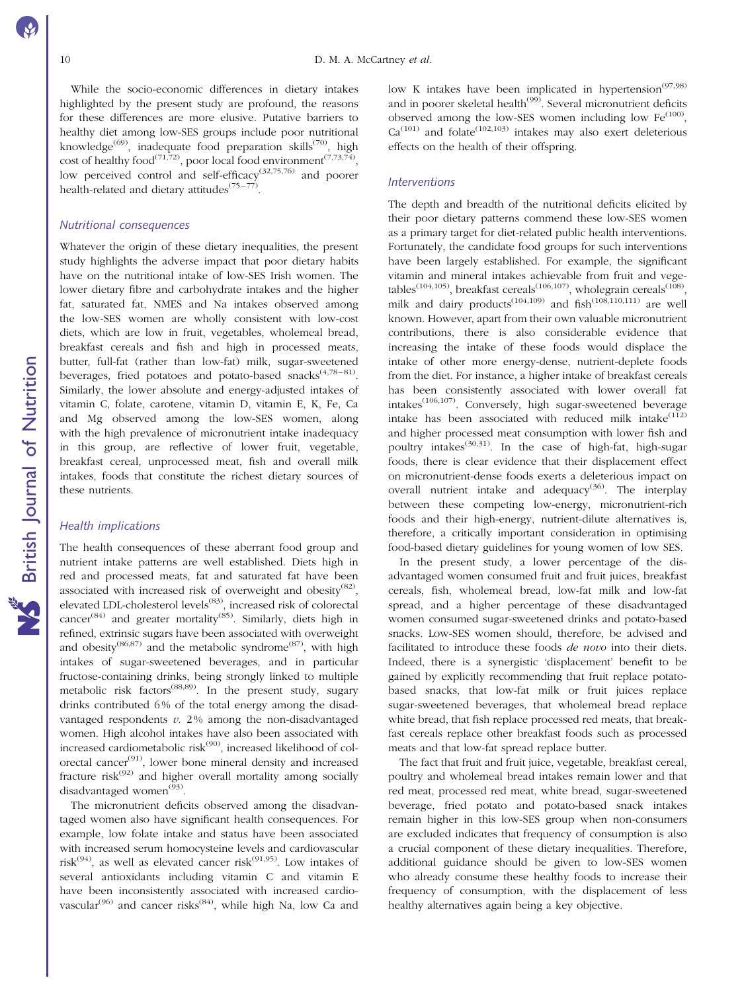While the socio-economic differences in dietary intakes highlighted by the present study are profound, the reasons for these differences are more elusive. Putative barriers to healthy diet among low-SES groups include poor nutritional knowledge<sup>(69)</sup>, inadequate food preparation skills<sup>(70)</sup>, high cost of healthy food<sup>(71,72)</sup>, poor local food environment<sup>(7,73,74)</sup> low perceived control and self-efficacy<sup>(32,75,76)</sup> and poorer health-related and dietary attitudes<sup> $(75-77)$ </sup>.

#### Nutritional consequences

Whatever the origin of these dietary inequalities, the present study highlights the adverse impact that poor dietary habits have on the nutritional intake of low-SES Irish women. The lower dietary fibre and carbohydrate intakes and the higher fat, saturated fat, NMES and Na intakes observed among the low-SES women are wholly consistent with low-cost diets, which are low in fruit, vegetables, wholemeal bread, breakfast cereals and fish and high in processed meats, butter, full-fat (rather than low-fat) milk, sugar-sweetened beverages, fried potatoes and potato-based snacks $(4,78-81)$ . Similarly, the lower absolute and energy-adjusted intakes of vitamin C, folate, carotene, vitamin D, vitamin E, K, Fe, Ca and Mg observed among the low-SES women, along with the high prevalence of micronutrient intake inadequacy in this group, are reflective of lower fruit, vegetable, breakfast cereal, unprocessed meat, fish and overall milk intakes, foods that constitute the richest dietary sources of these nutrients.

#### Health implications

The health consequences of these aberrant food group and nutrient intake patterns are well established. Diets high in red and processed meats, fat and saturated fat have been associated with increased risk of overweight and obesity<sup>(82)</sup>, elevated LDL-cholesterol levels<sup>(83)</sup>, increased risk of colorectal cancer<sup>(84)</sup> and greater mortality<sup>(85)</sup>. Similarly, diets high in refined, extrinsic sugars have been associated with overweight and obesity<sup>(86,87)</sup> and the metabolic syndrome<sup>(87)</sup>, with high intakes of sugar-sweetened beverages, and in particular fructose-containing drinks, being strongly linked to multiple metabolic risk factors(88,89). In the present study, sugary drinks contributed 6 % of the total energy among the disadvantaged respondents  $v$ . 2% among the non-disadvantaged women. High alcohol intakes have also been associated with increased cardiometabolic risk<sup>(90)</sup>, increased likelihood of colorectal cancer<sup>(91)</sup>, lower bone mineral density and increased fracture risk<sup> $(92)$ </sup> and higher overall mortality among socially disadvantaged women $(93)$ .

The micronutrient deficits observed among the disadvantaged women also have significant health consequences. For example, low folate intake and status have been associated with increased serum homocysteine levels and cardiovascular risk<sup>(94)</sup>, as well as elevated cancer risk<sup>(91,95)</sup>. Low intakes of several antioxidants including vitamin C and vitamin E have been inconsistently associated with increased cardiovascular<sup>(96)</sup> and cancer risks<sup>(84)</sup>, while high Na, low Ca and low K intakes have been implicated in hypertension<sup>(97,98)</sup> and in poorer skeletal health<sup>(99)</sup>. Several micronutrient deficits observed among the low-SES women including low  $Fe^{(100)}$ ,  $Ca^{(101)}$  and folate<sup> $(102,103)$ </sup> intakes may also exert deleterious effects on the health of their offspring.

#### **Interventions**

The depth and breadth of the nutritional deficits elicited by their poor dietary patterns commend these low-SES women as a primary target for diet-related public health interventions. Fortunately, the candidate food groups for such interventions have been largely established. For example, the significant vitamin and mineral intakes achievable from fruit and vegetables<sup>(104,105)</sup>, breakfast cereals<sup>(106,107)</sup>, wholegrain cereals<sup>(108)</sup>, milk and dairy products<sup>(104,109)</sup> and fish<sup>(108,110,111)</sup> are well known. However, apart from their own valuable micronutrient contributions, there is also considerable evidence that increasing the intake of these foods would displace the intake of other more energy-dense, nutrient-deplete foods from the diet. For instance, a higher intake of breakfast cereals has been consistently associated with lower overall fat intakes(106,107). Conversely, high sugar-sweetened beverage intake has been associated with reduced milk intake $^{(112)}$ and higher processed meat consumption with lower fish and poultry intakes<sup> $(30,31)$ </sup>. In the case of high-fat, high-sugar foods, there is clear evidence that their displacement effect on micronutrient-dense foods exerts a deleterious impact on overall nutrient intake and adequacy<sup>(36)</sup>. The interplay between these competing low-energy, micronutrient-rich foods and their high-energy, nutrient-dilute alternatives is, therefore, a critically important consideration in optimising food-based dietary guidelines for young women of low SES.

In the present study, a lower percentage of the disadvantaged women consumed fruit and fruit juices, breakfast cereals, fish, wholemeal bread, low-fat milk and low-fat spread, and a higher percentage of these disadvantaged women consumed sugar-sweetened drinks and potato-based snacks. Low-SES women should, therefore, be advised and facilitated to introduce these foods de novo into their diets. Indeed, there is a synergistic 'displacement' benefit to be gained by explicitly recommending that fruit replace potatobased snacks, that low-fat milk or fruit juices replace sugar-sweetened beverages, that wholemeal bread replace white bread, that fish replace processed red meats, that breakfast cereals replace other breakfast foods such as processed meats and that low-fat spread replace butter.

The fact that fruit and fruit juice, vegetable, breakfast cereal, poultry and wholemeal bread intakes remain lower and that red meat, processed red meat, white bread, sugar-sweetened beverage, fried potato and potato-based snack intakes remain higher in this low-SES group when non-consumers are excluded indicates that frequency of consumption is also a crucial component of these dietary inequalities. Therefore, additional guidance should be given to low-SES women who already consume these healthy foods to increase their frequency of consumption, with the displacement of less healthy alternatives again being a key objective.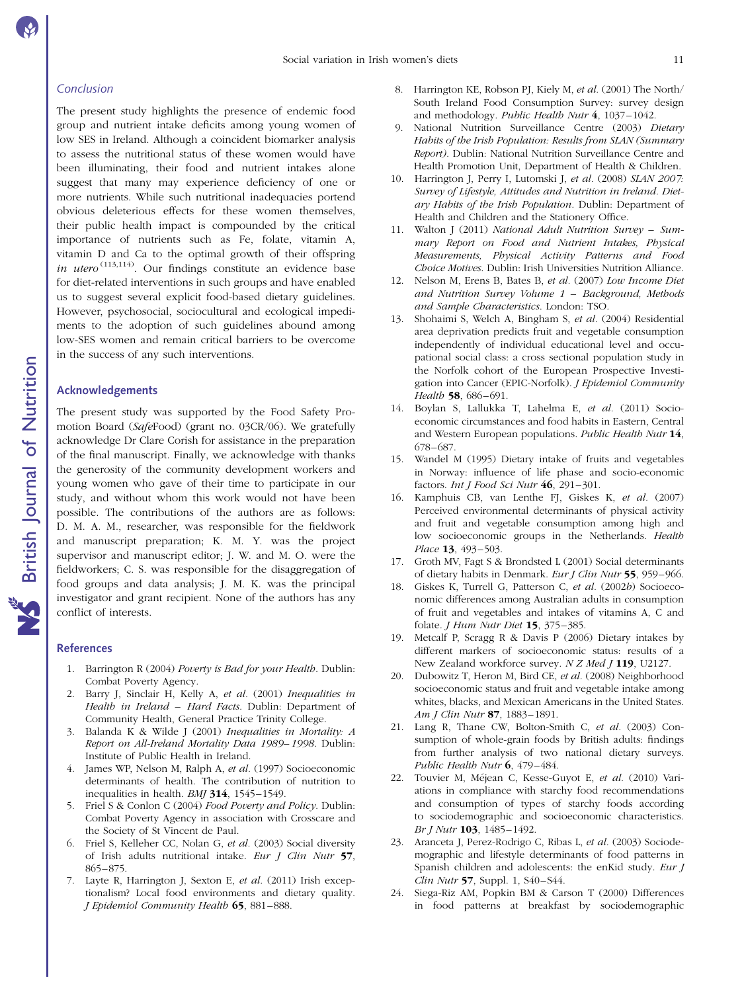#### Conclusion

The present study highlights the presence of endemic food group and nutrient intake deficits among young women of low SES in Ireland. Although a coincident biomarker analysis to assess the nutritional status of these women would have been illuminating, their food and nutrient intakes alone suggest that many may experience deficiency of one or more nutrients. While such nutritional inadequacies portend obvious deleterious effects for these women themselves, their public health impact is compounded by the critical importance of nutrients such as Fe, folate, vitamin A, vitamin D and Ca to the optimal growth of their offspring in utero  $(113,114)$ . Our findings constitute an evidence base for diet-related interventions in such groups and have enabled us to suggest several explicit food-based dietary guidelines. However, psychosocial, sociocultural and ecological impediments to the adoption of such guidelines abound among low-SES women and remain critical barriers to be overcome in the success of any such interventions.

#### Acknowledgements

The present study was supported by the Food Safety Promotion Board (SafeFood) (grant no. 03CR/06). We gratefully acknowledge Dr Clare Corish for assistance in the preparation of the final manuscript. Finally, we acknowledge with thanks the generosity of the community development workers and young women who gave of their time to participate in our study, and without whom this work would not have been possible. The contributions of the authors are as follows: D. M. A. M., researcher, was responsible for the fieldwork and manuscript preparation; K. M. Y. was the project supervisor and manuscript editor; J. W. and M. O. were the fieldworkers; C. S. was responsible for the disaggregation of food groups and data analysis; J. M. K. was the principal investigator and grant recipient. None of the authors has any conflict of interests.

#### References

- 1. Barrington R (2004) Poverty is Bad for your Health. Dublin: Combat Poverty Agency.
- 2. Barry J, Sinclair H, Kelly A, et al. (2001) Inequalities in Health in Ireland – Hard Facts. Dublin: Department of Community Health, General Practice Trinity College.
- 3. Balanda K & Wilde J (2001) Inequalities in Mortality: A Report on All-Ireland Mortality Data 1989–1998. Dublin: Institute of Public Health in Ireland.
- 4. James WP, Nelson M, Ralph A, et al. (1997) Socioeconomic determinants of health. The contribution of nutrition to inequalities in health. BMJ 314, 1545–1549.
- 5. Friel S & Conlon C (2004) Food Poverty and Policy. Dublin: Combat Poverty Agency in association with Crosscare and the Society of St Vincent de Paul.
- 6. Friel S, Kelleher CC, Nolan G, et al. (2003) Social diversity of Irish adults nutritional intake. Eur J Clin Nutr 57, 865–875.
- 7. Layte R, Harrington J, Sexton E, et al. (2011) Irish exceptionalism? Local food environments and dietary quality. J Epidemiol Community Health 65, 881–888.
- 8. Harrington KE, Robson PJ, Kiely M, et al. (2001) The North/ South Ireland Food Consumption Survey: survey design and methodology. Public Health Nutr 4, 1037–1042.
- 9. National Nutrition Surveillance Centre (2003) Dietary Habits of the Irish Population: Results from SLAN (Summary Report). Dublin: National Nutrition Surveillance Centre and Health Promotion Unit, Department of Health & Children.
- 10. Harrington J, Perry I, Lutomski J, et al. (2008) SLAN 2007: Survey of Lifestyle, Attitudes and Nutrition in Ireland. Dietary Habits of the Irish Population. Dublin: Department of Health and Children and the Stationery Office.
- 11. Walton J (2011) National Adult Nutrition Survey Summary Report on Food and Nutrient Intakes, Physical Measurements, Physical Activity Patterns and Food Choice Motives. Dublin: Irish Universities Nutrition Alliance.
- 12. Nelson M, Erens B, Bates B, et al. (2007) Low Income Diet and Nutrition Survey Volume 1 – Background, Methods and Sample Characteristics. London: TSO.
- 13. Shohaimi S, Welch A, Bingham S, et al. (2004) Residential area deprivation predicts fruit and vegetable consumption independently of individual educational level and occupational social class: a cross sectional population study in the Norfolk cohort of the European Prospective Investigation into Cancer (EPIC-Norfolk). J Epidemiol Community Health **58**, 686-691.
- 14. Boylan S, Lallukka T, Lahelma E, et al. (2011) Socioeconomic circumstances and food habits in Eastern, Central and Western European populations. Public Health Nutr 14, 678–687.
- 15. Wandel M (1995) Dietary intake of fruits and vegetables in Norway: influence of life phase and socio-economic factors. Int J Food Sci Nutr  $46$ , 291-301.
- 16. Kamphuis CB, van Lenthe FJ, Giskes K, et al. (2007) Perceived environmental determinants of physical activity and fruit and vegetable consumption among high and low socioeconomic groups in the Netherlands. Health Place 13, 493-503.
- 17. Groth MV, Fagt S & Brondsted L (2001) Social determinants of dietary habits in Denmark. Eur J Clin Nutr 55, 959–966.
- 18. Giskes K, Turrell G, Patterson C, et al. (2002b) Socioeconomic differences among Australian adults in consumption of fruit and vegetables and intakes of vitamins A, C and folate. *J Hum Nutr Diet* **15**, 375-385.
- 19. Metcalf P, Scragg R & Davis P (2006) Dietary intakes by different markers of socioeconomic status: results of a New Zealand workforce survey. N Z Med J 119, U2127.
- 20. Dubowitz T, Heron M, Bird CE, et al. (2008) Neighborhood socioeconomic status and fruit and vegetable intake among whites, blacks, and Mexican Americans in the United States. Am J Clin Nutr 87, 1883–1891.
- 21. Lang R, Thane CW, Bolton-Smith C, et al. (2003) Consumption of whole-grain foods by British adults: findings from further analysis of two national dietary surveys. Public Health Nutr 6, 479-484.
- 22. Touvier M, Méjean C, Kesse-Guyot E, et al. (2010) Variations in compliance with starchy food recommendations and consumption of types of starchy foods according to sociodemographic and socioeconomic characteristics. Br J Nutr 103, 1485-1492.
- 23. Aranceta J, Perez-Rodrigo C, Ribas L, et al. (2003) Sociodemographic and lifestyle determinants of food patterns in Spanish children and adolescents: the enKid study. Eur J Clin Nutr 57, Suppl. 1, S40–S44.
- 24. Siega-Riz AM, Popkin BM & Carson T (2000) Differences in food patterns at breakfast by sociodemographic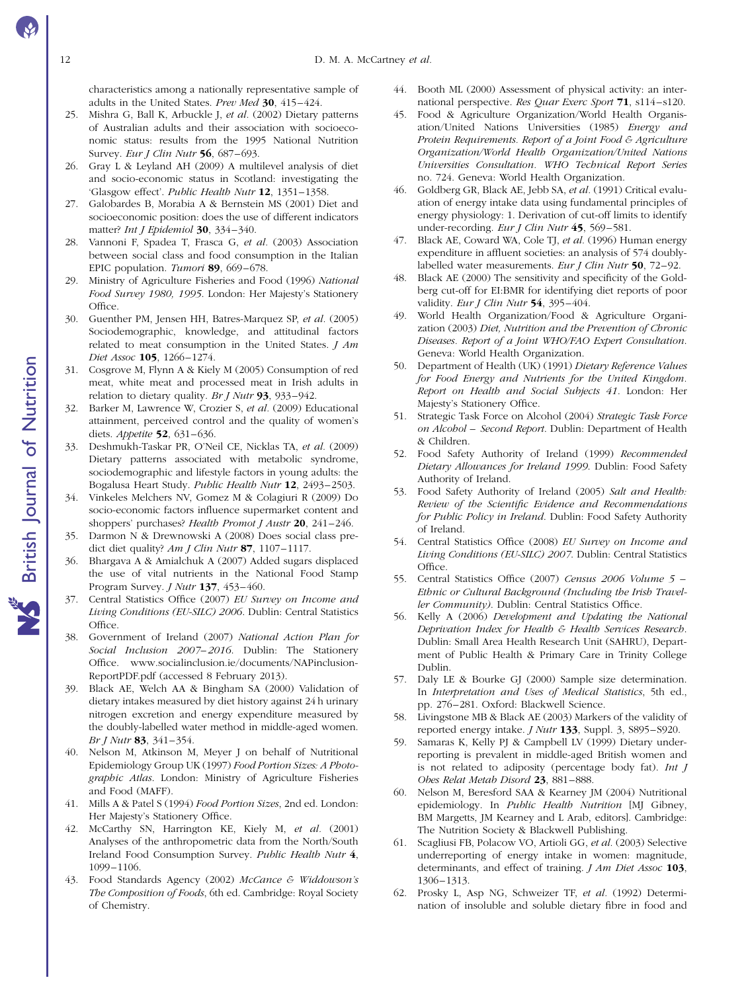**NS** British Journal of Nutrition British Journal of Nutrition

characteristics among a nationally representative sample of adults in the United States. Prev Med 30, 415–424.

- 25. Mishra G, Ball K, Arbuckle J, et al. (2002) Dietary patterns of Australian adults and their association with socioeconomic status: results from the 1995 National Nutrition Survey. Eur J Clin Nutr 56, 687-693.
- 26. Gray L & Leyland AH (2009) A multilevel analysis of diet and socio-economic status in Scotland: investigating the 'Glasgow effect'. Public Health Nutr 12, 1351–1358.
- 27. Galobardes B, Morabia A & Bernstein MS (2001) Diet and socioeconomic position: does the use of different indicators matter? Int J Epidemiol 30, 334-340.
- 28. Vannoni F, Spadea T, Frasca G, et al. (2003) Association between social class and food consumption in the Italian EPIC population. Tumori 89, 669–678.
- 29. Ministry of Agriculture Fisheries and Food (1996) National Food Survey 1980, 1995. London: Her Majesty's Stationery Office.
- 30. Guenther PM, Jensen HH, Batres-Marquez SP, et al. (2005) Sociodemographic, knowledge, and attitudinal factors related to meat consumption in the United States. J Am Diet Assoc **105**, 1266-1274.
- 31. Cosgrove M, Flynn A & Kiely M (2005) Consumption of red meat, white meat and processed meat in Irish adults in relation to dietary quality. Br J Nutr  $93$ ,  $933-942$ .
- 32. Barker M, Lawrence W, Crozier S, et al. (2009) Educational attainment, perceived control and the quality of women's diets. Appetite 52, 631–636.
- 33. Deshmukh-Taskar PR, O'Neil CE, Nicklas TA, et al. (2009) Dietary patterns associated with metabolic syndrome, sociodemographic and lifestyle factors in young adults: the Bogalusa Heart Study. Public Health Nutr 12, 2493–2503.
- 34. Vinkeles Melchers NV, Gomez M & Colagiuri R (2009) Do socio-economic factors influence supermarket content and shoppers' purchases? Health Promot J Austr 20, 241-246.
- 35. Darmon N & Drewnowski A (2008) Does social class predict diet quality?  $Am J Clin Nutr$  87, 1107-1117.
- 36. Bhargava A & Amialchuk A (2007) Added sugars displaced the use of vital nutrients in the National Food Stamp Program Survey. J Nutr 137, 453–460.
- 37. Central Statistics Office (2007) EU Survey on Income and Living Conditions (EU-SILC) 2006. Dublin: Central Statistics Office.
- 38. Government of Ireland (2007) National Action Plan for Social Inclusion 2007–2016. Dublin: The Stationery Office. www.socialinclusion.ie/documents/NAPinclusion-ReportPDF.pdf (accessed 8 February 2013).
- 39. Black AE, Welch AA & Bingham SA (2000) Validation of dietary intakes measured by diet history against 24 h urinary nitrogen excretion and energy expenditure measured by the doubly-labelled water method in middle-aged women. Br J Nutr 83, 341–354.
- 40. Nelson M, Atkinson M, Meyer J on behalf of Nutritional Epidemiology Group UK (1997) Food Portion Sizes: A Photographic Atlas. London: Ministry of Agriculture Fisheries and Food (MAFF).
- 41. Mills A & Patel S (1994) Food Portion Sizes, 2nd ed. London: Her Majesty's Stationery Office.
- 42. McCarthy SN, Harrington KE, Kiely M, et al. (2001) Analyses of the anthropometric data from the North/South Ireland Food Consumption Survey. Public Health Nutr 4, 1099–1106.
- 43. Food Standards Agency (2002) McCance & Widdowson's The Composition of Foods, 6th ed. Cambridge: Royal Society of Chemistry.
- 44. Booth ML (2000) Assessment of physical activity: an international perspective. Res Quar Exerc Sport 71, s114–s120.
- 45. Food & Agriculture Organization/World Health Organisation/United Nations Universities (1985) Energy and Protein Requirements. Report of a Joint Food & Agriculture Organization/World Health Organization/United Nations Universities Consultation. WHO Technical Report Series no. 724. Geneva: World Health Organization.
- 46. Goldberg GR, Black AE, Jebb SA, et al. (1991) Critical evaluation of energy intake data using fundamental principles of energy physiology: 1. Derivation of cut-off limits to identify under-recording. *Eur J Clin Nutr* 45, 569–581.
- 47. Black AE, Coward WA, Cole TJ, et al. (1996) Human energy expenditure in affluent societies: an analysis of 574 doublylabelled water measurements. Eur J Clin Nutr 50, 72-92.
- 48. Black AE (2000) The sensitivity and specificity of the Goldberg cut-off for EI:BMR for identifying diet reports of poor validity. Eur J Clin Nutr  $54$ , 395-404.
- 49. World Health Organization/Food & Agriculture Organization (2003) Diet, Nutrition and the Prevention of Chronic Diseases. Report of a Joint WHO/FAO Expert Consultation. Geneva: World Health Organization.
- 50. Department of Health (UK) (1991) Dietary Reference Values for Food Energy and Nutrients for the United Kingdom. Report on Health and Social Subjects 41. London: Her Majesty's Stationery Office.
- 51. Strategic Task Force on Alcohol (2004) Strategic Task Force on Alcohol – Second Report. Dublin: Department of Health & Children.
- 52. Food Safety Authority of Ireland (1999) Recommended Dietary Allowances for Ireland 1999. Dublin: Food Safety Authority of Ireland.
- 53. Food Safety Authority of Ireland (2005) Salt and Health: Review of the Scientific Evidence and Recommendations for Public Policy in Ireland. Dublin: Food Safety Authority of Ireland.
- 54. Central Statistics Office (2008) EU Survey on Income and Living Conditions (EU-SILC) 2007. Dublin: Central Statistics Office.
- 55. Central Statistics Office (2007) Census 2006 Volume 5 Ethnic or Cultural Background (Including the Irish Traveller Community). Dublin: Central Statistics Office.
- 56. Kelly A (2006) Development and Updating the National Deprivation Index for Health & Health Services Research. Dublin: Small Area Health Research Unit (SAHRU), Department of Public Health & Primary Care in Trinity College Dublin.
- 57. Daly LE & Bourke GJ (2000) Sample size determination. In Interpretation and Uses of Medical Statistics, 5th ed., pp. 276–281. Oxford: Blackwell Science.
- 58. Livingstone MB & Black AE (2003) Markers of the validity of reported energy intake. J Nutr 133, Suppl. 3, S895–S920.
- 59. Samaras K, Kelly PJ & Campbell LV (1999) Dietary underreporting is prevalent in middle-aged British women and is not related to adiposity (percentage body fat). Int J Obes Relat Metab Disord 23, 881–888.
- 60. Nelson M, Beresford SAA & Kearney JM (2004) Nutritional epidemiology. In Public Health Nutrition [MJ Gibney, BM Margetts, JM Kearney and L Arab, editors]. Cambridge: The Nutrition Society & Blackwell Publishing.
- 61. Scagliusi FB, Polacow VO, Artioli GG, et al. (2003) Selective underreporting of energy intake in women: magnitude, determinants, and effect of training. *J Am Diet Assoc* 103, 1306–1313.
- 62. Prosky L, Asp NG, Schweizer TF, et al. (1992) Determination of insoluble and soluble dietary fibre in food and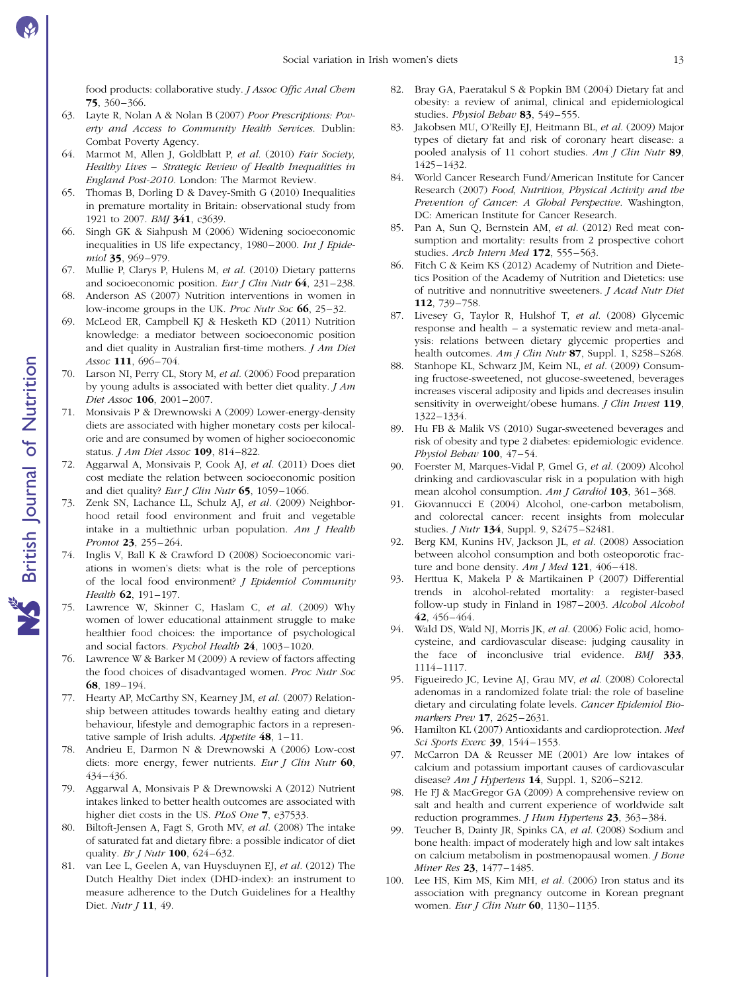food products: collaborative study. *J Assoc Offic Anal Chem* 75, 360–366.

- 63. Layte R, Nolan A & Nolan B (2007) Poor Prescriptions: Poverty and Access to Community Health Services. Dublin: Combat Poverty Agency.
- 64. Marmot M, Allen J, Goldblatt P, et al. (2010) Fair Society, Healthy Lives – Strategic Review of Health Inequalities in England Post-2010. London: The Marmot Review.
- 65. Thomas B, Dorling D & Davey-Smith G (2010) Inequalities in premature mortality in Britain: observational study from 1921 to 2007. BMJ 341, c3639.
- 66. Singh GK & Siahpush M (2006) Widening socioeconomic inequalities in US life expectancy, 1980–2000. Int J Epidemiol 35, 969–979.
- 67. Mullie P, Clarys P, Hulens M, et al. (2010) Dietary patterns and socioeconomic position. Eur J Clin Nutr 64, 231–238.
- 68. Anderson AS (2007) Nutrition interventions in women in low-income groups in the UK. *Proc Nutr Soc* **66**, 25–32.
- 69. McLeod ER, Campbell KJ & Hesketh KD (2011) Nutrition knowledge: a mediator between socioeconomic position and diet quality in Australian first-time mothers. J Am Diet Assoc 111, 696–704.
- 70. Larson NI, Perry CL, Story M, et al. (2006) Food preparation by young adults is associated with better diet quality. J Am Diet Assoc 106, 2001–2007.
- 71. Monsivais P & Drewnowski A (2009) Lower-energy-density diets are associated with higher monetary costs per kilocalorie and are consumed by women of higher socioeconomic status. J Am Diet Assoc  $109$ , 814-822.
- 72. Aggarwal A, Monsivais P, Cook AJ, et al. (2011) Does diet cost mediate the relation between socioeconomic position and diet quality? Eur J Clin Nutr  $65$ , 1059-1066.
- 73. Zenk SN, Lachance LL, Schulz AJ, et al. (2009) Neighborhood retail food environment and fruit and vegetable intake in a multiethnic urban population. Am J Health Promot 23, 255–264.
- 74. Inglis V, Ball K & Crawford D (2008) Socioeconomic variations in women's diets: what is the role of perceptions of the local food environment? J Epidemiol Community Health 62, 191–197.
- 75. Lawrence W, Skinner C, Haslam C, et al. (2009) Why women of lower educational attainment struggle to make healthier food choices: the importance of psychological and social factors. Psychol Health 24, 1003–1020.
- 76. Lawrence W & Barker M (2009) A review of factors affecting the food choices of disadvantaged women. Proc Nutr Soc 68, 189–194.
- 77. Hearty AP, McCarthy SN, Kearney JM, et al. (2007) Relationship between attitudes towards healthy eating and dietary behaviour, lifestyle and demographic factors in a representative sample of Irish adults. Appetite  $48$ , 1–11.
- 78. Andrieu E, Darmon N & Drewnowski A (2006) Low-cost diets: more energy, fewer nutrients. Eur J Clin Nutr 60, 434–436.
- 79. Aggarwal A, Monsivais P & Drewnowski A (2012) Nutrient intakes linked to better health outcomes are associated with higher diet costs in the US. PLoS One 7, e37533.
- 80. Biltoft-Jensen A, Fagt S, Groth MV, et al. (2008) The intake of saturated fat and dietary fibre: a possible indicator of diet quality. Br J Nutr 100, 624–632.
- 81. van Lee L, Geelen A, van Huysduynen EJ, et al. (2012) The Dutch Healthy Diet index (DHD-index): an instrument to measure adherence to the Dutch Guidelines for a Healthy Diet. Nutr 1 **11**, 49.
- 82. Bray GA, Paeratakul S & Popkin BM (2004) Dietary fat and obesity: a review of animal, clinical and epidemiological studies. Physiol Behav 83, 549-555.
- 83. Jakobsen MU, O'Reilly EJ, Heitmann BL, et al. (2009) Major types of dietary fat and risk of coronary heart disease: a pooled analysis of 11 cohort studies. Am J Clin Nutr 89, 1425–1432.
- 84. World Cancer Research Fund/American Institute for Cancer Research (2007) Food, Nutrition, Physical Activity and the Prevention of Cancer: A Global Perspective. Washington, DC: American Institute for Cancer Research.
- 85. Pan A, Sun Q, Bernstein AM, et al. (2012) Red meat consumption and mortality: results from 2 prospective cohort studies. Arch Intern Med 172, 555-563.
- 86. Fitch C & Keim KS (2012) Academy of Nutrition and Dietetics Position of the Academy of Nutrition and Dietetics: use of nutritive and nonnutritive sweeteners. J Acad Nutr Diet 112, 739–758.
- 87. Livesey G, Taylor R, Hulshof T, et al. (2008) Glycemic response and health – a systematic review and meta-analysis: relations between dietary glycemic properties and health outcomes. Am J Clin Nutr 87, Suppl. 1, S258-S268.
- 88. Stanhope KL, Schwarz JM, Keim NL, et al. (2009) Consuming fructose-sweetened, not glucose-sweetened, beverages increases visceral adiposity and lipids and decreases insulin sensitivity in overweight/obese humans. *I Clin Invest* 119, 1322–1334.
- 89. Hu FB & Malik VS (2010) Sugar-sweetened beverages and risk of obesity and type 2 diabetes: epidemiologic evidence. Physiol Behav 100, 47–54.
- 90. Foerster M, Marques-Vidal P, Gmel G, et al. (2009) Alcohol drinking and cardiovascular risk in a population with high mean alcohol consumption. Am J Cardiol 103, 361-368.
- 91. Giovannucci E (2004) Alcohol, one-carbon metabolism, and colorectal cancer: recent insights from molecular studies. J Nutr 134, Suppl. 9, S2475–S2481.
- 92. Berg KM, Kunins HV, Jackson JL, et al. (2008) Association between alcohol consumption and both osteoporotic fracture and bone density.  $Am J Med$  121, 406-418.
- 93. Herttua K, Makela P & Martikainen P (2007) Differential trends in alcohol-related mortality: a register-based follow-up study in Finland in 1987–2003. Alcohol Alcohol 42, 456–464.
- 94. Wald DS, Wald NJ, Morris JK, et al. (2006) Folic acid, homocysteine, and cardiovascular disease: judging causality in the face of inconclusive trial evidence. BMJ 333, 1114–1117.
- 95. Figueiredo JC, Levine AJ, Grau MV, et al. (2008) Colorectal adenomas in a randomized folate trial: the role of baseline dietary and circulating folate levels. Cancer Epidemiol Biomarkers Prev **17**, 2625-2631.
- 96. Hamilton KL (2007) Antioxidants and cardioprotection. Med Sci Sports Exerc 39, 1544-1553.
- 97. McCarron DA & Reusser ME (2001) Are low intakes of calcium and potassium important causes of cardiovascular disease? Am J Hypertens 14, Suppl. 1, S206–S212.
- 98. He FJ & MacGregor GA (2009) A comprehensive review on salt and health and current experience of worldwide salt reduction programmes. *J Hum Hypertens* 23, 363-384.
- 99. Teucher B, Dainty JR, Spinks CA, et al. (2008) Sodium and bone health: impact of moderately high and low salt intakes on calcium metabolism in postmenopausal women. J Bone Miner Res 23, 1477-1485.
- 100. Lee HS, Kim MS, Kim MH, et al. (2006) Iron status and its association with pregnancy outcome in Korean pregnant women. Eur J Clin Nutr 60, 1130-1135.